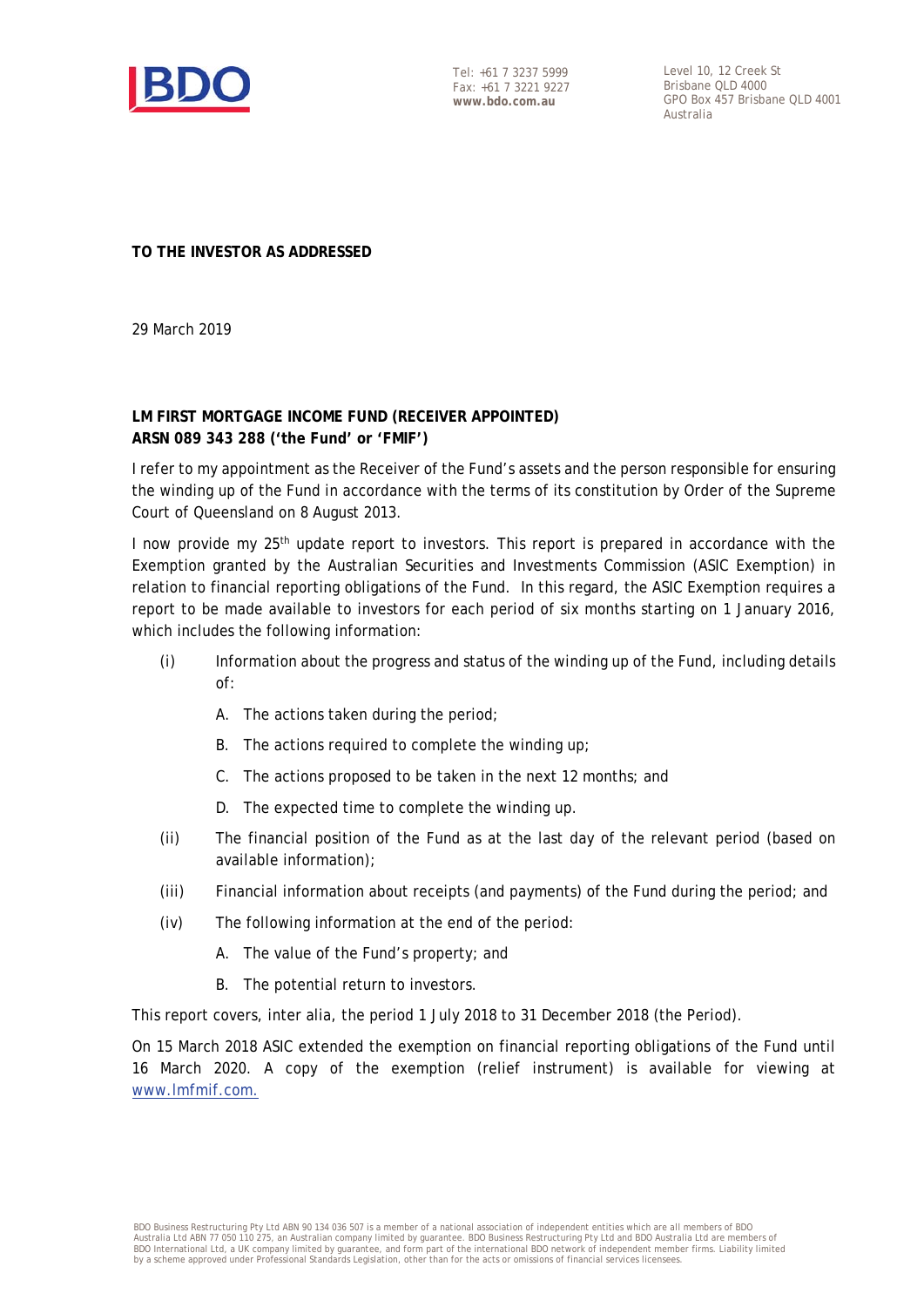

Tel: +61 7 3237 5999 Fax: +61 7 3221 9227 **www.bdo.com.au** 

Level 10, 12 Creek St Brisbane QLD 4000 GPO Box 457 Brisbane QLD 4001 Australia

**TO THE INVESTOR AS ADDRESSED** 

29 March 2019

## **LM FIRST MORTGAGE INCOME FUND (RECEIVER APPOINTED) ARSN 089 343 288 ('the Fund' or 'FMIF')**

I refer to my appointment as the Receiver of the Fund's assets and the person responsible for ensuring the winding up of the Fund in accordance with the terms of its constitution by Order of the Supreme Court of Queensland on 8 August 2013.

I now provide my  $25<sup>th</sup>$  update report to investors. This report is prepared in accordance with the Exemption granted by the Australian Securities and Investments Commission (ASIC Exemption) in relation to financial reporting obligations of the Fund. In this regard, the ASIC Exemption requires a report to be made available to investors for each period of six months starting on 1 January 2016, which includes the following information:

- (i) Information about the progress and status of the winding up of the Fund, including details of:
	- A. The actions taken during the period;
	- B. The actions required to complete the winding up:
	- C. The actions proposed to be taken in the next 12 months; and
	- D. The expected time to complete the winding up.
- (ii) The financial position of the Fund as at the last day of the relevant period (based on available information);
- (iii) Financial information about receipts (and payments) of the Fund during the period; and
- (iv) The following information at the end of the period:
	- A. The value of the Fund's property; and
	- B. The potential return to investors.

This report covers, inter alia, the period 1 July 2018 to 31 December 2018 (the Period).

On 15 March 2018 ASIC extended the exemption on financial reporting obligations of the Fund until 16 March 2020. A copy of the exemption (relief instrument) is available for viewing at www.lmfmif.com.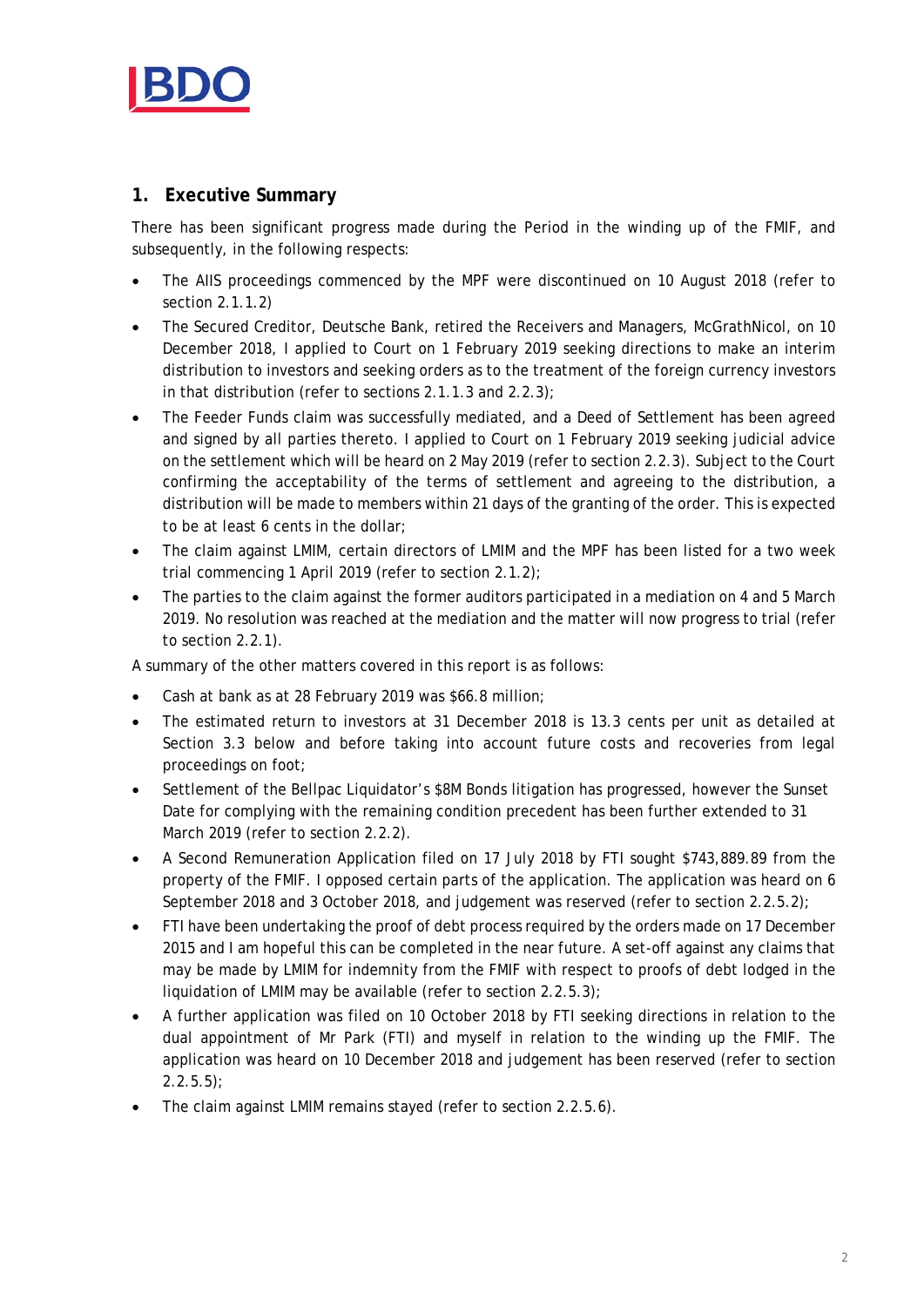

# **1. Executive Summary**

There has been significant progress made during the Period in the winding up of the FMIF, and subsequently, in the following respects:

- The AIIS proceedings commenced by the MPF were discontinued on 10 August 2018 (refer to section 2.1.1.2)
- The Secured Creditor, Deutsche Bank, retired the Receivers and Managers, McGrathNicol, on 10 December 2018, I applied to Court on 1 February 2019 seeking directions to make an interim distribution to investors and seeking orders as to the treatment of the foreign currency investors in that distribution (refer to sections 2.1.1.3 and 2.2.3);
- The Feeder Funds claim was successfully mediated, and a Deed of Settlement has been agreed and signed by all parties thereto. I applied to Court on 1 February 2019 seeking judicial advice on the settlement which will be heard on 2 May 2019 (refer to section 2.2.3). Subject to the Court confirming the acceptability of the terms of settlement and agreeing to the distribution, a distribution will be made to members within 21 days of the granting of the order. This is expected to be at least 6 cents in the dollar;
- The claim against LMIM, certain directors of LMIM and the MPF has been listed for a two week trial commencing 1 April 2019 (refer to section 2.1.2);
- The parties to the claim against the former auditors participated in a mediation on 4 and 5 March 2019. No resolution was reached at the mediation and the matter will now progress to trial (refer to section 2.2.1).

A summary of the other matters covered in this report is as follows:

- Cash at bank as at 28 February 2019 was \$66.8 million;
- The estimated return to investors at 31 December 2018 is 13.3 cents per unit as detailed at Section 3.3 below and before taking into account future costs and recoveries from legal proceedings on foot;
- Settlement of the Bellpac Liquidator's \$8M Bonds litigation has progressed, however the Sunset Date for complying with the remaining condition precedent has been further extended to 31 March 2019 (refer to section 2.2.2).
- A Second Remuneration Application filed on 17 July 2018 by FTI sought \$743,889.89 from the property of the FMIF. I opposed certain parts of the application. The application was heard on 6 September 2018 and 3 October 2018, and judgement was reserved (refer to section 2.2.5.2);
- FTI have been undertaking the proof of debt process required by the orders made on 17 December 2015 and I am hopeful this can be completed in the near future. A set-off against any claims that may be made by LMIM for indemnity from the FMIF with respect to proofs of debt lodged in the liquidation of LMIM may be available (refer to section 2.2.5.3);
- A further application was filed on 10 October 2018 by FTI seeking directions in relation to the dual appointment of Mr Park (FTI) and myself in relation to the winding up the FMIF. The application was heard on 10 December 2018 and judgement has been reserved (refer to section  $2.2.5.5$ );
- The claim against LMIM remains stayed (refer to section 2.2.5.6).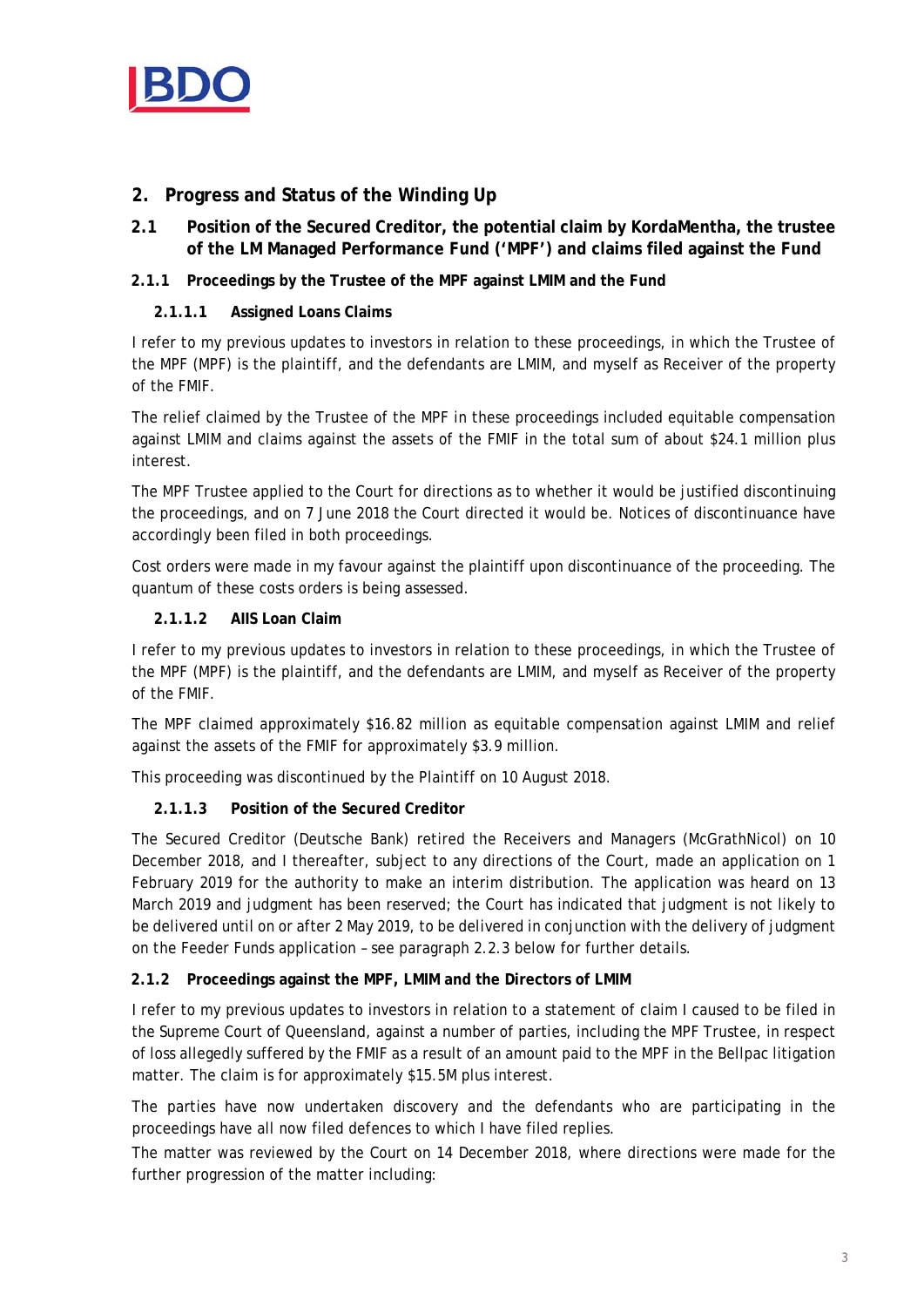

# **2. Progress and Status of the Winding Up**

**2.1 Position of the Secured Creditor, the potential claim by KordaMentha, the trustee of the LM Managed Performance Fund ('MPF') and claims filed against the Fund** 

## **2.1.1 Proceedings by the Trustee of the MPF against LMIM and the Fund**

## **2.1.1.1 Assigned Loans Claims**

I refer to my previous updates to investors in relation to these proceedings, in which the Trustee of the MPF (MPF) is the plaintiff, and the defendants are LMIM, and myself as Receiver of the property of the FMIF.

The relief claimed by the Trustee of the MPF in these proceedings included equitable compensation against LMIM and claims against the assets of the FMIF in the total sum of about \$24.1 million plus interest.

The MPF Trustee applied to the Court for directions as to whether it would be justified discontinuing the proceedings, and on 7 June 2018 the Court directed it would be. Notices of discontinuance have accordingly been filed in both proceedings.

Cost orders were made in my favour against the plaintiff upon discontinuance of the proceeding. The quantum of these costs orders is being assessed.

## **2.1.1.2 AIIS Loan Claim**

I refer to my previous updates to investors in relation to these proceedings, in which the Trustee of the MPF (MPF) is the plaintiff, and the defendants are LMIM, and myself as Receiver of the property of the FMIF.

The MPF claimed approximately \$16.82 million as equitable compensation against LMIM and relief against the assets of the FMIF for approximately \$3.9 million.

This proceeding was discontinued by the Plaintiff on 10 August 2018.

## **2.1.1.3 Position of the Secured Creditor**

The Secured Creditor (Deutsche Bank) retired the Receivers and Managers (McGrathNicol) on 10 December 2018, and I thereafter, subject to any directions of the Court, made an application on 1 February 2019 for the authority to make an interim distribution. The application was heard on 13 March 2019 and judgment has been reserved; the Court has indicated that judgment is not likely to be delivered until on or after 2 May 2019, to be delivered in conjunction with the delivery of judgment on the Feeder Funds application – see paragraph 2.2.3 below for further details.

#### **2.1.2 Proceedings against the MPF, LMIM and the Directors of LMIM**

I refer to my previous updates to investors in relation to a statement of claim I caused to be filed in the Supreme Court of Queensland, against a number of parties, including the MPF Trustee, in respect of loss allegedly suffered by the FMIF as a result of an amount paid to the MPF in the Bellpac litigation matter. The claim is for approximately \$15.5M plus interest.

The parties have now undertaken discovery and the defendants who are participating in the proceedings have all now filed defences to which I have filed replies.

The matter was reviewed by the Court on 14 December 2018, where directions were made for the further progression of the matter including: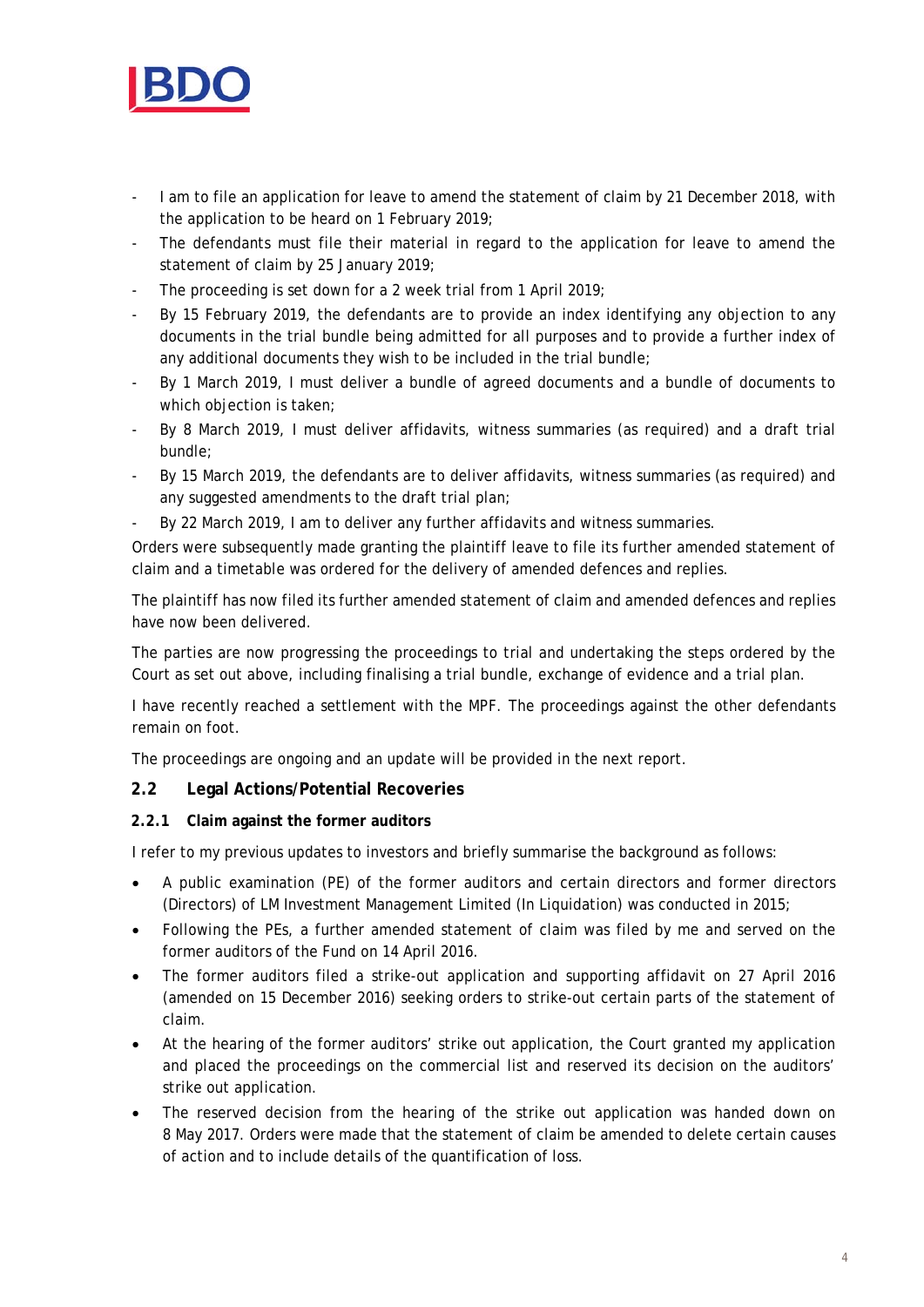

- I am to file an application for leave to amend the statement of claim by 21 December 2018, with the application to be heard on 1 February 2019;
- The defendants must file their material in regard to the application for leave to amend the statement of claim by 25 January 2019;
- The proceeding is set down for a 2 week trial from 1 April 2019;
- By 15 February 2019, the defendants are to provide an index identifying any objection to any documents in the trial bundle being admitted for all purposes and to provide a further index of any additional documents they wish to be included in the trial bundle;
- By 1 March 2019, I must deliver a bundle of agreed documents and a bundle of documents to which objection is taken;
- By 8 March 2019, I must deliver affidavits, witness summaries (as required) and a draft trial bundle;
- By 15 March 2019, the defendants are to deliver affidavits, witness summaries (as required) and any suggested amendments to the draft trial plan;
- By 22 March 2019, I am to deliver any further affidavits and witness summaries.

Orders were subsequently made granting the plaintiff leave to file its further amended statement of claim and a timetable was ordered for the delivery of amended defences and replies.

The plaintiff has now filed its further amended statement of claim and amended defences and replies have now been delivered.

The parties are now progressing the proceedings to trial and undertaking the steps ordered by the Court as set out above, including finalising a trial bundle, exchange of evidence and a trial plan.

I have recently reached a settlement with the MPF. The proceedings against the other defendants remain on foot.

The proceedings are ongoing and an update will be provided in the next report.

## **2.2 Legal Actions/Potential Recoveries**

#### **2.2.1 Claim against the former auditors**

I refer to my previous updates to investors and briefly summarise the background as follows:

- A public examination (PE) of the former auditors and certain directors and former directors (Directors) of LM Investment Management Limited (In Liquidation) was conducted in 2015;
- Following the PEs, a further amended statement of claim was filed by me and served on the former auditors of the Fund on 14 April 2016.
- The former auditors filed a strike-out application and supporting affidavit on 27 April 2016 (amended on 15 December 2016) seeking orders to strike-out certain parts of the statement of claim.
- At the hearing of the former auditors' strike out application, the Court granted my application and placed the proceedings on the commercial list and reserved its decision on the auditors' strike out application.
- The reserved decision from the hearing of the strike out application was handed down on 8 May 2017. Orders were made that the statement of claim be amended to delete certain causes of action and to include details of the quantification of loss.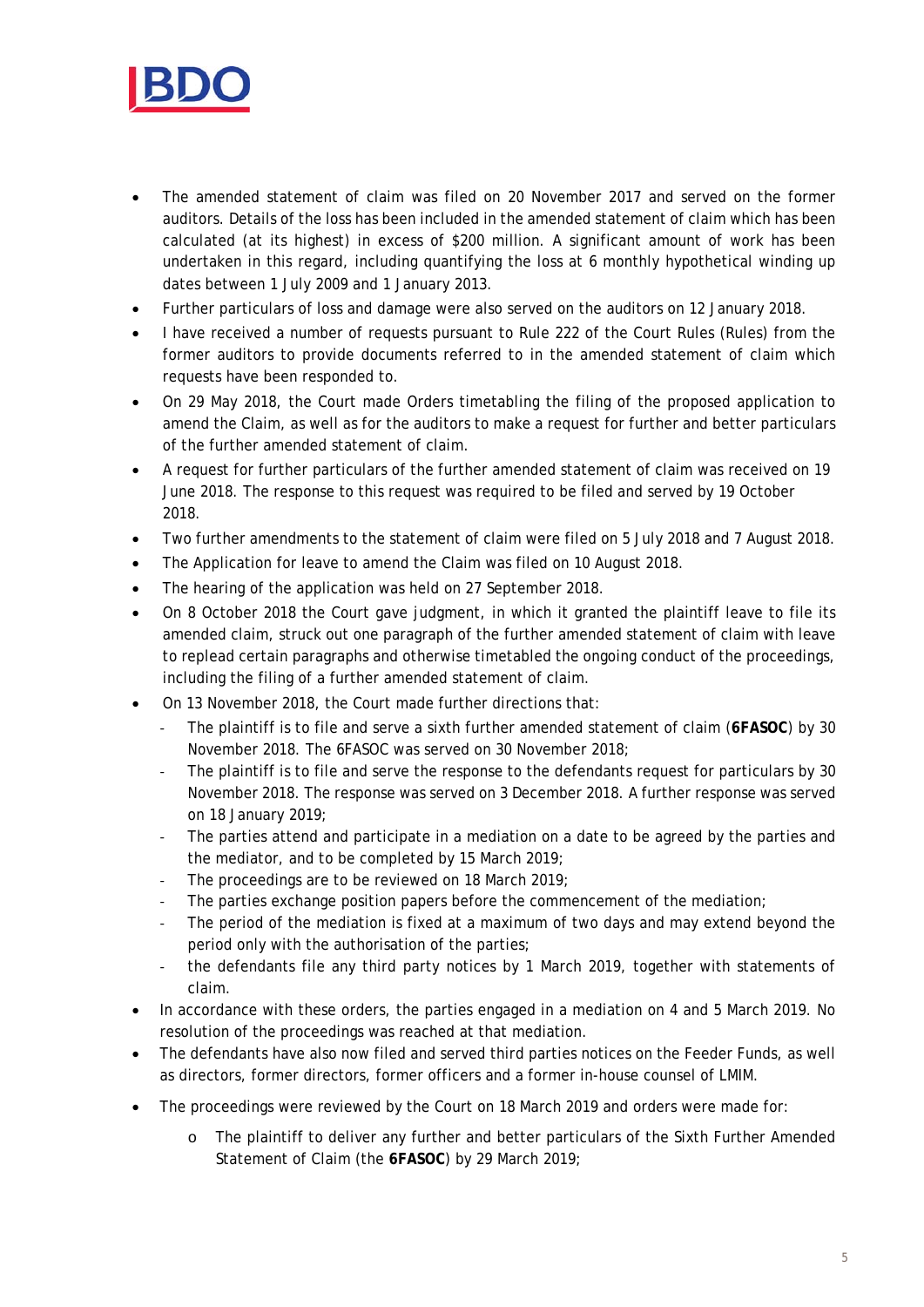

- The amended statement of claim was filed on 20 November 2017 and served on the former auditors. Details of the loss has been included in the amended statement of claim which has been calculated (at its highest) in excess of \$200 million. A significant amount of work has been undertaken in this regard, including quantifying the loss at 6 monthly hypothetical winding up dates between 1 July 2009 and 1 January 2013.
- Further particulars of loss and damage were also served on the auditors on 12 January 2018.
- I have received a number of requests pursuant to Rule 222 of the Court Rules (Rules) from the former auditors to provide documents referred to in the amended statement of claim which requests have been responded to.
- On 29 May 2018, the Court made Orders timetabling the filing of the proposed application to amend the Claim, as well as for the auditors to make a request for further and better particulars of the further amended statement of claim.
- A request for further particulars of the further amended statement of claim was received on 19 June 2018. The response to this request was required to be filed and served by 19 October 2018.
- Two further amendments to the statement of claim were filed on 5 July 2018 and 7 August 2018.
- The Application for leave to amend the Claim was filed on 10 August 2018.
- The hearing of the application was held on 27 September 2018.
- On 8 October 2018 the Court gave judgment, in which it granted the plaintiff leave to file its amended claim, struck out one paragraph of the further amended statement of claim with leave to replead certain paragraphs and otherwise timetabled the ongoing conduct of the proceedings, including the filing of a further amended statement of claim.
- On 13 November 2018, the Court made further directions that:
	- ‐ The plaintiff is to file and serve a sixth further amended statement of claim (**6FASOC**) by 30 November 2018. The 6FASOC was served on 30 November 2018;
	- The plaintiff is to file and serve the response to the defendants request for particulars by 30 November 2018. The response was served on 3 December 2018. A further response was served on 18 January 2019;
	- The parties attend and participate in a mediation on a date to be agreed by the parties and the mediator, and to be completed by 15 March 2019;
	- The proceedings are to be reviewed on 18 March 2019;
	- The parties exchange position papers before the commencement of the mediation;
	- The period of the mediation is fixed at a maximum of two days and may extend beyond the period only with the authorisation of the parties;
	- the defendants file any third party notices by 1 March 2019, together with statements of claim.
- In accordance with these orders, the parties engaged in a mediation on 4 and 5 March 2019. No resolution of the proceedings was reached at that mediation.
- The defendants have also now filed and served third parties notices on the Feeder Funds, as well as directors, former directors, former officers and a former in-house counsel of LMIM.
- The proceedings were reviewed by the Court on 18 March 2019 and orders were made for:
	- o The plaintiff to deliver any further and better particulars of the Sixth Further Amended Statement of Claim (the **6FASOC**) by 29 March 2019;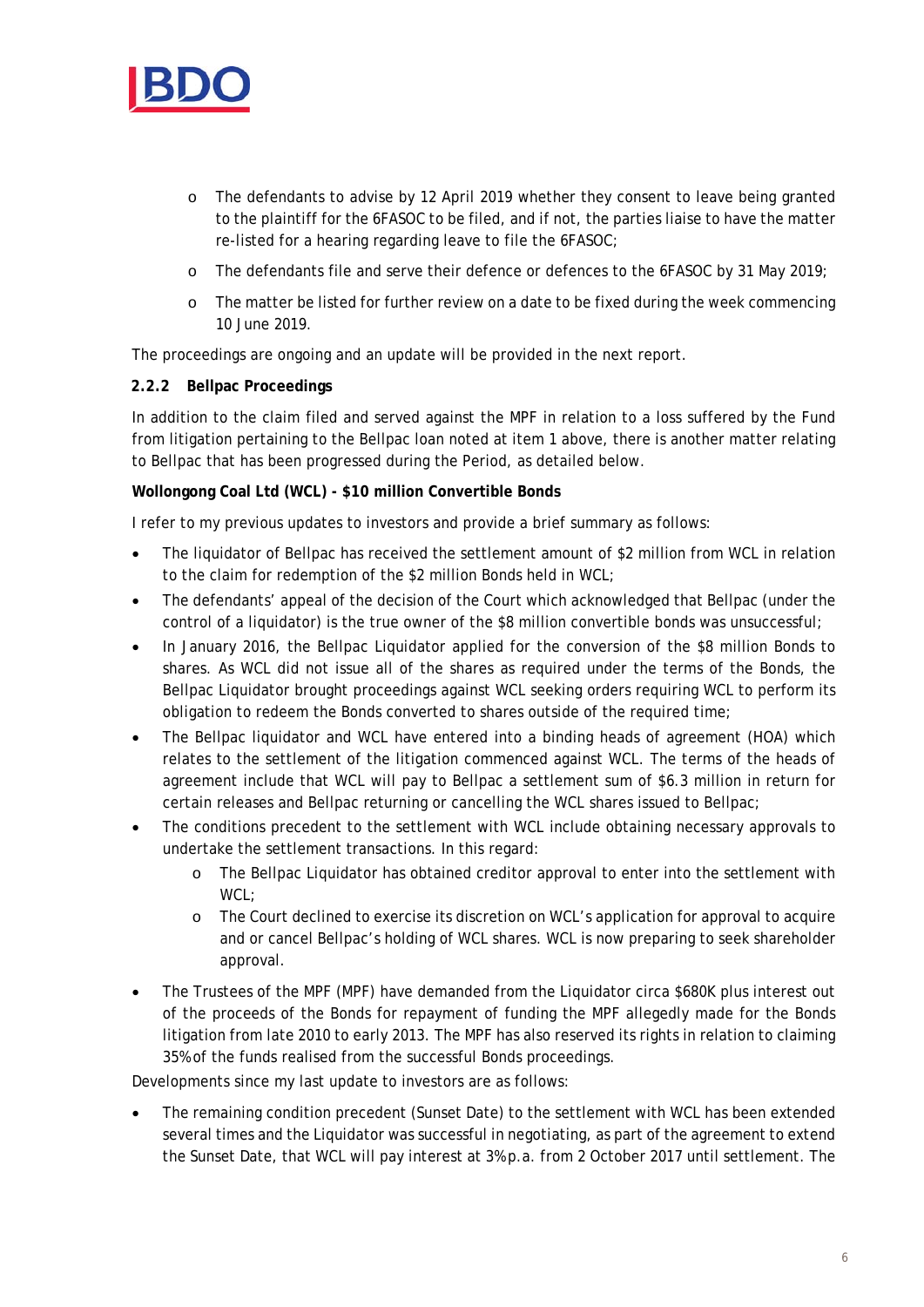

- o The defendants to advise by 12 April 2019 whether they consent to leave being granted to the plaintiff for the 6FASOC to be filed, and if not, the parties liaise to have the matter re-listed for a hearing regarding leave to file the 6FASOC;
- o The defendants file and serve their defence or defences to the 6FASOC by 31 May 2019;
- o The matter be listed for further review on a date to be fixed during the week commencing 10 June 2019.

The proceedings are ongoing and an update will be provided in the next report.

#### **2.2.2 Bellpac Proceedings**

In addition to the claim filed and served against the MPF in relation to a loss suffered by the Fund from litigation pertaining to the Bellpac loan noted at item 1 above, there is another matter relating to Bellpac that has been progressed during the Period, as detailed below.

#### **Wollongong Coal Ltd (WCL) - \$10 million Convertible Bonds**

I refer to my previous updates to investors and provide a brief summary as follows:

- The liquidator of Bellpac has received the settlement amount of \$2 million from WCL in relation to the claim for redemption of the \$2 million Bonds held in WCL;
- The defendants' appeal of the decision of the Court which acknowledged that Bellpac (under the control of a liquidator) is the true owner of the \$8 million convertible bonds was unsuccessful;
- In January 2016, the Bellpac Liquidator applied for the conversion of the \$8 million Bonds to shares. As WCL did not issue all of the shares as required under the terms of the Bonds, the Bellpac Liquidator brought proceedings against WCL seeking orders requiring WCL to perform its obligation to redeem the Bonds converted to shares outside of the required time;
- The Bellpac liquidator and WCL have entered into a binding heads of agreement (HOA) which relates to the settlement of the litigation commenced against WCL. The terms of the heads of agreement include that WCL will pay to Bellpac a settlement sum of \$6.3 million in return for certain releases and Bellpac returning or cancelling the WCL shares issued to Bellpac;
- The conditions precedent to the settlement with WCL include obtaining necessary approvals to undertake the settlement transactions. In this regard:
	- o The Bellpac Liquidator has obtained creditor approval to enter into the settlement with WCL;
	- o The Court declined to exercise its discretion on WCL's application for approval to acquire and or cancel Bellpac's holding of WCL shares. WCL is now preparing to seek shareholder approval.
- The Trustees of the MPF (MPF) have demanded from the Liquidator circa \$680K plus interest out of the proceeds of the Bonds for repayment of funding the MPF allegedly made for the Bonds litigation from late 2010 to early 2013. The MPF has also reserved its rights in relation to claiming 35% of the funds realised from the successful Bonds proceedings.

Developments since my last update to investors are as follows:

 The remaining condition precedent (Sunset Date) to the settlement with WCL has been extended several times and the Liquidator was successful in negotiating, as part of the agreement to extend the Sunset Date, that WCL will pay interest at 3% p.a. from 2 October 2017 until settlement. The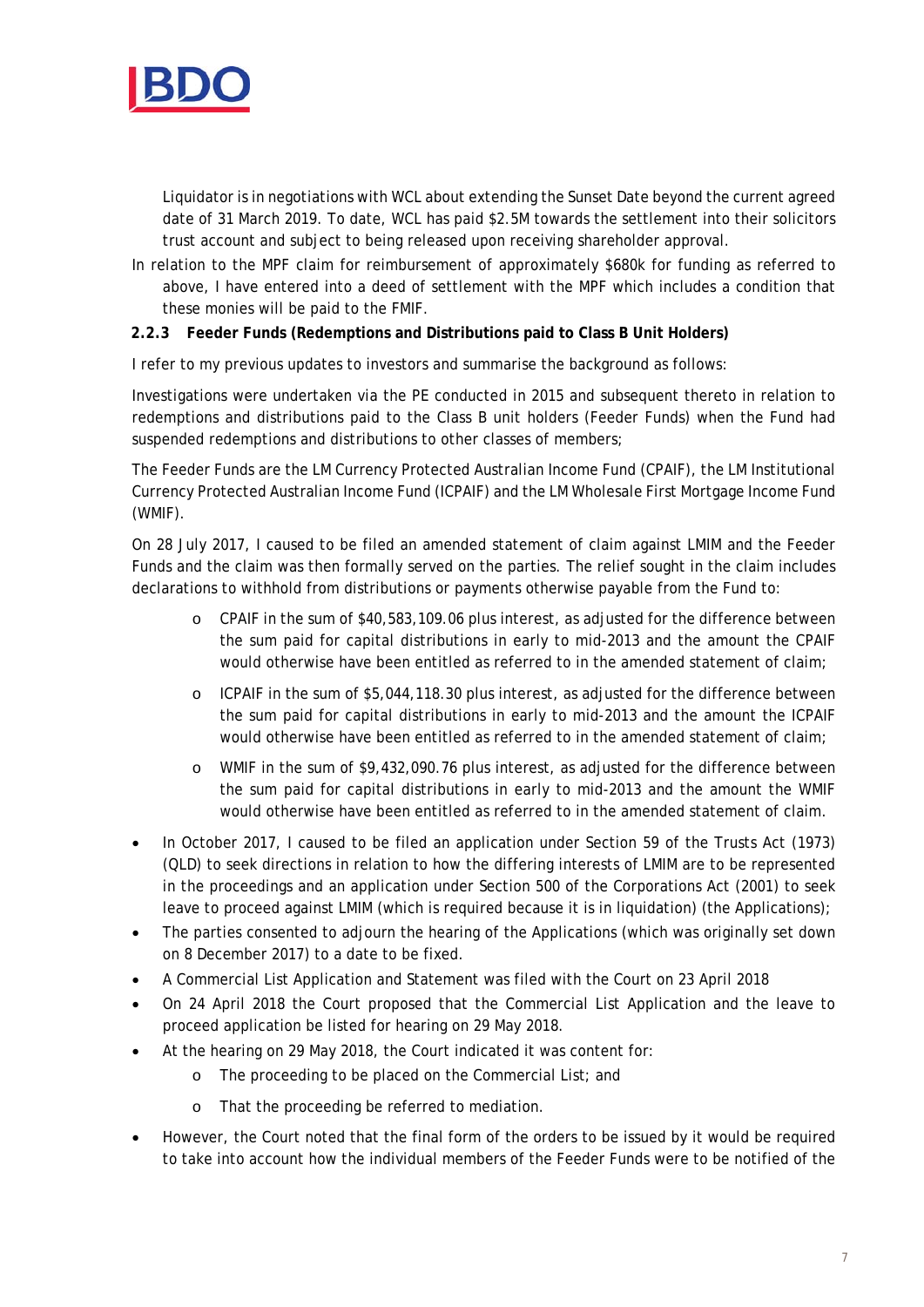

Liquidator is in negotiations with WCL about extending the Sunset Date beyond the current agreed date of 31 March 2019. To date, WCL has paid \$2.5M towards the settlement into their solicitors trust account and subject to being released upon receiving shareholder approval.

In relation to the MPF claim for reimbursement of approximately \$680k for funding as referred to above, I have entered into a deed of settlement with the MPF which includes a condition that these monies will be paid to the FMIF.

#### **2.2.3 Feeder Funds (Redemptions and Distributions paid to Class B Unit Holders)**

I refer to my previous updates to investors and summarise the background as follows:

Investigations were undertaken via the PE conducted in 2015 and subsequent thereto in relation to redemptions and distributions paid to the Class B unit holders (Feeder Funds) when the Fund had suspended redemptions and distributions to other classes of members;

The Feeder Funds are the LM Currency Protected Australian Income Fund (CPAIF), the LM Institutional Currency Protected Australian Income Fund (ICPAIF) and the LM Wholesale First Mortgage Income Fund (WMIF).

On 28 July 2017, I caused to be filed an amended statement of claim against LMIM and the Feeder Funds and the claim was then formally served on the parties. The relief sought in the claim includes declarations to withhold from distributions or payments otherwise payable from the Fund to:

- o CPAIF in the sum of \$40,583,109.06 plus interest, as adjusted for the difference between the sum paid for capital distributions in early to mid-2013 and the amount the CPAIF would otherwise have been entitled as referred to in the amended statement of claim;
- o ICPAIF in the sum of \$5,044,118.30 plus interest, as adjusted for the difference between the sum paid for capital distributions in early to mid-2013 and the amount the ICPAIF would otherwise have been entitled as referred to in the amended statement of claim;
- o WMIF in the sum of \$9,432,090.76 plus interest, as adjusted for the difference between the sum paid for capital distributions in early to mid-2013 and the amount the WMIF would otherwise have been entitled as referred to in the amended statement of claim.
- In October 2017, I caused to be filed an application under Section 59 of the Trusts Act (1973) (QLD) to seek directions in relation to how the differing interests of LMIM are to be represented in the proceedings and an application under Section 500 of the Corporations Act (2001) to seek leave to proceed against LMIM (which is required because it is in liquidation) (the Applications);
- The parties consented to adjourn the hearing of the Applications (which was originally set down on 8 December 2017) to a date to be fixed.
- A Commercial List Application and Statement was filed with the Court on 23 April 2018
- On 24 April 2018 the Court proposed that the Commercial List Application and the leave to proceed application be listed for hearing on 29 May 2018.
- At the hearing on 29 May 2018, the Court indicated it was content for:
	- o The proceeding to be placed on the Commercial List; and
	- o That the proceeding be referred to mediation.
- However, the Court noted that the final form of the orders to be issued by it would be required to take into account how the individual members of the Feeder Funds were to be notified of the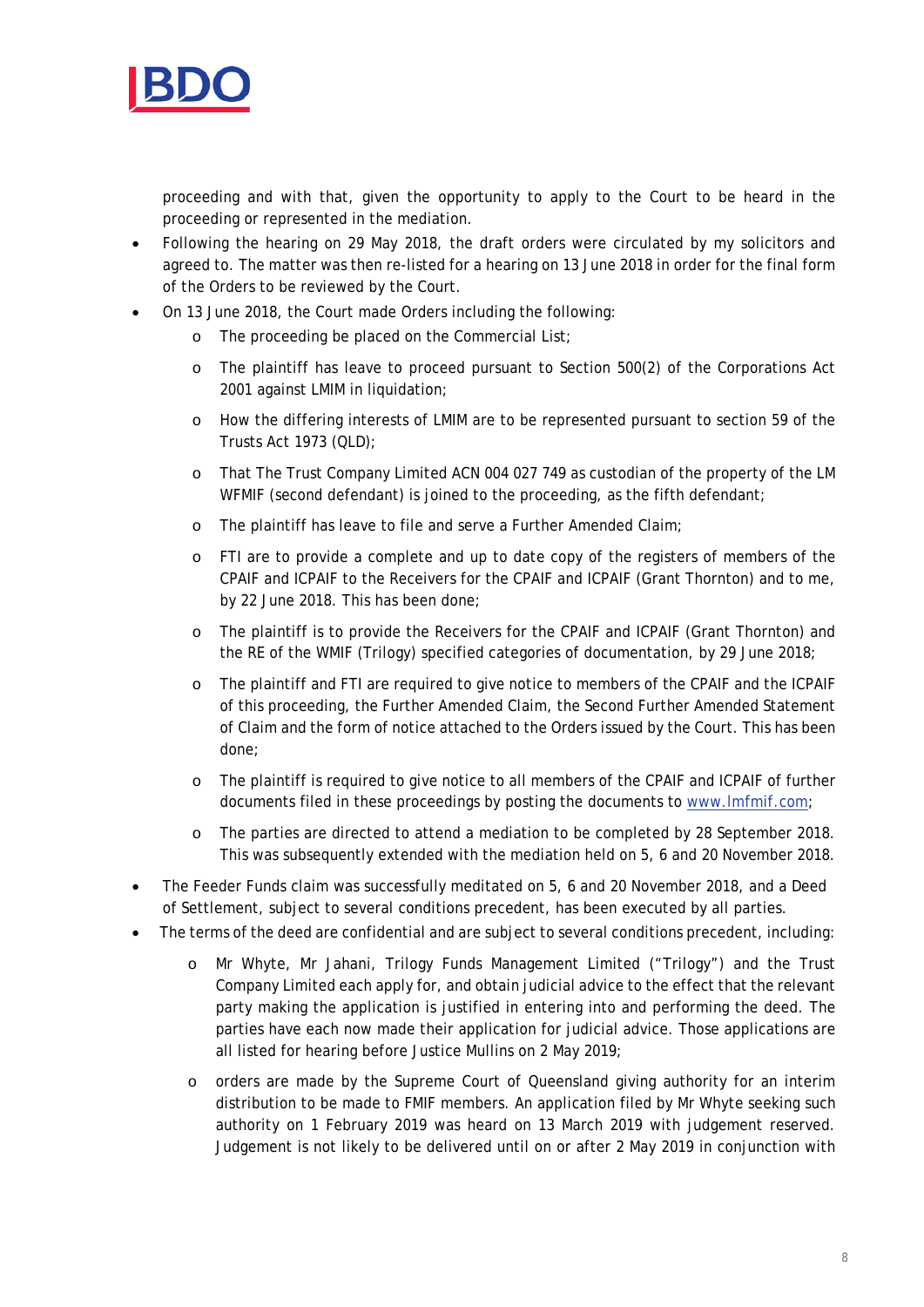

proceeding and with that, given the opportunity to apply to the Court to be heard in the proceeding or represented in the mediation.

- Following the hearing on 29 May 2018, the draft orders were circulated by my solicitors and agreed to. The matter was then re-listed for a hearing on 13 June 2018 in order for the final form of the Orders to be reviewed by the Court.
- On 13 June 2018, the Court made Orders including the following:
	- o The proceeding be placed on the Commercial List;
	- o The plaintiff has leave to proceed pursuant to Section 500(2) of the Corporations Act 2001 against LMIM in liquidation;
	- o How the differing interests of LMIM are to be represented pursuant to section 59 of the Trusts Act 1973 (QLD);
	- o That The Trust Company Limited ACN 004 027 749 as custodian of the property of the LM WFMIF (second defendant) is joined to the proceeding, as the fifth defendant;
	- o The plaintiff has leave to file and serve a Further Amended Claim;
	- o FTI are to provide a complete and up to date copy of the registers of members of the CPAIF and ICPAIF to the Receivers for the CPAIF and ICPAIF (Grant Thornton) and to me, by 22 June 2018. This has been done;
	- o The plaintiff is to provide the Receivers for the CPAIF and ICPAIF (Grant Thornton) and the RE of the WMIF (Trilogy) specified categories of documentation, by 29 June 2018;
	- o The plaintiff and FTI are required to give notice to members of the CPAIF and the ICPAIF of this proceeding, the Further Amended Claim, the Second Further Amended Statement of Claim and the form of notice attached to the Orders issued by the Court. This has been done;
	- o The plaintiff is required to give notice to all members of the CPAIF and ICPAIF of further documents filed in these proceedings by posting the documents to www.lmfmif.com;
	- o The parties are directed to attend a mediation to be completed by 28 September 2018. This was subsequently extended with the mediation held on 5, 6 and 20 November 2018.
- The Feeder Funds claim was successfully meditated on 5, 6 and 20 November 2018, and a Deed of Settlement, subject to several conditions precedent, has been executed by all parties.
- The terms of the deed are confidential and are subject to several conditions precedent, including:
	- o Mr Whyte, Mr Jahani, Trilogy Funds Management Limited ("Trilogy") and the Trust Company Limited each apply for, and obtain judicial advice to the effect that the relevant party making the application is justified in entering into and performing the deed. The parties have each now made their application for judicial advice. Those applications are all listed for hearing before Justice Mullins on 2 May 2019;
	- o orders are made by the Supreme Court of Queensland giving authority for an interim distribution to be made to FMIF members. An application filed by Mr Whyte seeking such authority on 1 February 2019 was heard on 13 March 2019 with judgement reserved. Judgement is not likely to be delivered until on or after 2 May 2019 in conjunction with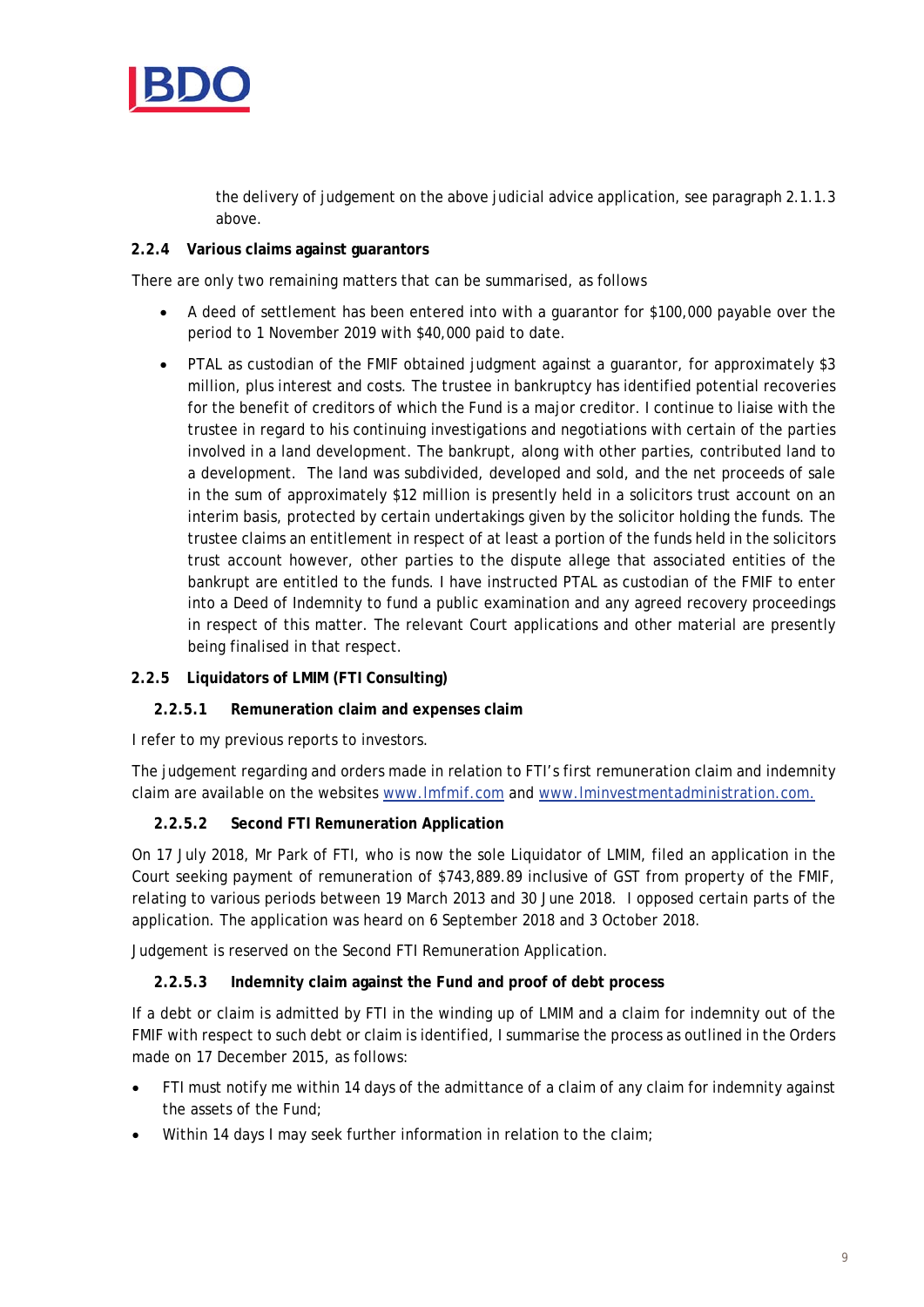

the delivery of judgement on the above judicial advice application, see paragraph 2.1.1.3 above.

## **2.2.4 Various claims against guarantors**

There are only two remaining matters that can be summarised, as follows

- A deed of settlement has been entered into with a guarantor for \$100,000 payable over the period to 1 November 2019 with \$40,000 paid to date.
- PTAL as custodian of the FMIF obtained judgment against a guarantor, for approximately \$3 million, plus interest and costs. The trustee in bankruptcy has identified potential recoveries for the benefit of creditors of which the Fund is a major creditor. I continue to liaise with the trustee in regard to his continuing investigations and negotiations with certain of the parties involved in a land development. The bankrupt, along with other parties, contributed land to a development. The land was subdivided, developed and sold, and the net proceeds of sale in the sum of approximately \$12 million is presently held in a solicitors trust account on an interim basis, protected by certain undertakings given by the solicitor holding the funds. The trustee claims an entitlement in respect of at least a portion of the funds held in the solicitors trust account however, other parties to the dispute allege that associated entities of the bankrupt are entitled to the funds. I have instructed PTAL as custodian of the FMIF to enter into a Deed of Indemnity to fund a public examination and any agreed recovery proceedings in respect of this matter. The relevant Court applications and other material are presently being finalised in that respect.

## **2.2.5 Liquidators of LMIM (FTI Consulting)**

#### **2.2.5.1 Remuneration claim and expenses claim**

I refer to my previous reports to investors.

The judgement regarding and orders made in relation to FTI's first remuneration claim and indemnity claim are available on the websites www.lmfmif.com and www.lminvestmentadministration.com.

## **2.2.5.2 Second FTI Remuneration Application**

On 17 July 2018, Mr Park of FTI, who is now the sole Liquidator of LMIM, filed an application in the Court seeking payment of remuneration of \$743,889.89 inclusive of GST from property of the FMIF, relating to various periods between 19 March 2013 and 30 June 2018. I opposed certain parts of the application. The application was heard on 6 September 2018 and 3 October 2018.

Judgement is reserved on the Second FTI Remuneration Application.

#### **2.2.5.3 Indemnity claim against the Fund and proof of debt process**

If a debt or claim is admitted by FTI in the winding up of LMIM and a claim for indemnity out of the FMIF with respect to such debt or claim is identified, I summarise the process as outlined in the Orders made on 17 December 2015, as follows:

- FTI must notify me within 14 days of the admittance of a claim of any claim for indemnity against the assets of the Fund;
- Within 14 days I may seek further information in relation to the claim;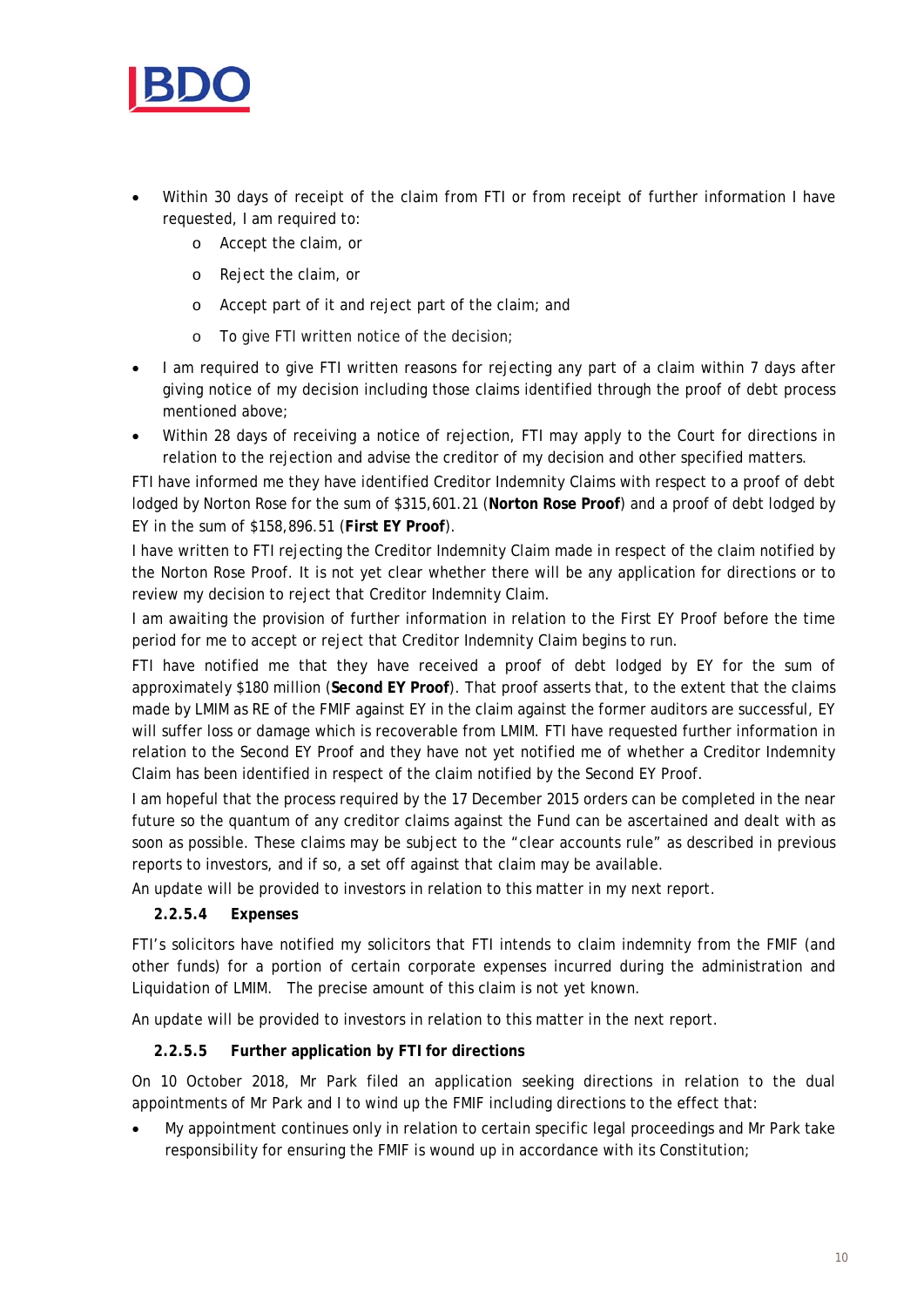

- Within 30 days of receipt of the claim from FTI or from receipt of further information I have requested, I am required to:
	- o Accept the claim, or
	- o Reject the claim, or
	- o Accept part of it and reject part of the claim; and
	- o To give FTI written notice of the decision;
- I am required to give FTI written reasons for rejecting any part of a claim within 7 days after giving notice of my decision including those claims identified through the proof of debt process mentioned above;
- Within 28 days of receiving a notice of rejection, FTI may apply to the Court for directions in relation to the rejection and advise the creditor of my decision and other specified matters.

FTI have informed me they have identified Creditor Indemnity Claims with respect to a proof of debt lodged by Norton Rose for the sum of \$315,601.21 (**Norton Rose Proof**) and a proof of debt lodged by EY in the sum of \$158,896.51 (**First EY Proof**).

I have written to FTI rejecting the Creditor Indemnity Claim made in respect of the claim notified by the Norton Rose Proof. It is not yet clear whether there will be any application for directions or to review my decision to reject that Creditor Indemnity Claim.

I am awaiting the provision of further information in relation to the First EY Proof before the time period for me to accept or reject that Creditor Indemnity Claim begins to run.

FTI have notified me that they have received a proof of debt lodged by EY for the sum of approximately \$180 million (**Second EY Proof**). That proof asserts that, to the extent that the claims made by LMIM as RE of the FMIF against EY in the claim against the former auditors are successful, EY will suffer loss or damage which is recoverable from LMIM. FTI have requested further information in relation to the Second EY Proof and they have not yet notified me of whether a Creditor Indemnity Claim has been identified in respect of the claim notified by the Second EY Proof.

I am hopeful that the process required by the 17 December 2015 orders can be completed in the near future so the quantum of any creditor claims against the Fund can be ascertained and dealt with as soon as possible. These claims may be subject to the "clear accounts rule" as described in previous reports to investors, and if so, a set off against that claim may be available.

An update will be provided to investors in relation to this matter in my next report.

## **2.2.5.4 Expenses**

FTI's solicitors have notified my solicitors that FTI intends to claim indemnity from the FMIF (and other funds) for a portion of certain corporate expenses incurred during the administration and Liquidation of LMIM. The precise amount of this claim is not yet known.

An update will be provided to investors in relation to this matter in the next report.

## **2.2.5.5 Further application by FTI for directions**

On 10 October 2018, Mr Park filed an application seeking directions in relation to the dual appointments of Mr Park and I to wind up the FMIF including directions to the effect that:

 My appointment continues only in relation to certain specific legal proceedings and Mr Park take responsibility for ensuring the FMIF is wound up in accordance with its Constitution;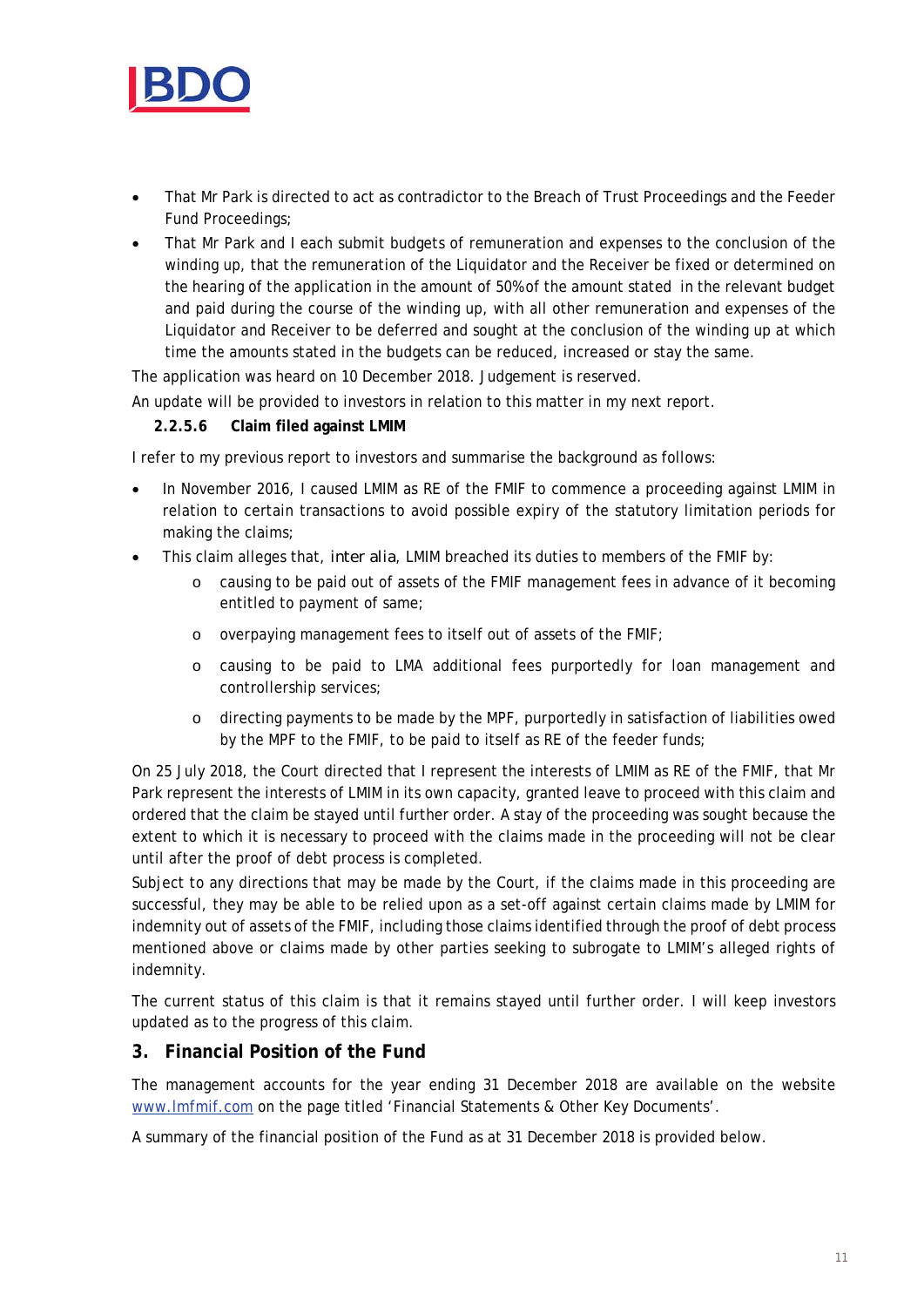

- That Mr Park is directed to act as contradictor to the Breach of Trust Proceedings and the Feeder Fund Proceedings;
- That Mr Park and I each submit budgets of remuneration and expenses to the conclusion of the winding up, that the remuneration of the Liquidator and the Receiver be fixed or determined on the hearing of the application in the amount of 50% of the amount stated in the relevant budget and paid during the course of the winding up, with all other remuneration and expenses of the Liquidator and Receiver to be deferred and sought at the conclusion of the winding up at which time the amounts stated in the budgets can be reduced, increased or stay the same.

The application was heard on 10 December 2018. Judgement is reserved.

An update will be provided to investors in relation to this matter in my next report.

#### **2.2.5.6 Claim filed against LMIM**

I refer to my previous report to investors and summarise the background as follows:

- In November 2016, I caused LMIM as RE of the FMIF to commence a proceeding against LMIM in relation to certain transactions to avoid possible expiry of the statutory limitation periods for making the claims;
- This claim alleges that, *inter alia*, LMIM breached its duties to members of the FMIF by:
	- o causing to be paid out of assets of the FMIF management fees in advance of it becoming entitled to payment of same;
	- o overpaying management fees to itself out of assets of the FMIF;
	- o causing to be paid to LMA additional fees purportedly for loan management and controllership services;
	- o directing payments to be made by the MPF, purportedly in satisfaction of liabilities owed by the MPF to the FMIF, to be paid to itself as RE of the feeder funds;

On 25 July 2018, the Court directed that I represent the interests of LMIM as RE of the FMIF, that Mr Park represent the interests of LMIM in its own capacity, granted leave to proceed with this claim and ordered that the claim be stayed until further order. A stay of the proceeding was sought because the extent to which it is necessary to proceed with the claims made in the proceeding will not be clear until after the proof of debt process is completed.

Subject to any directions that may be made by the Court, if the claims made in this proceeding are successful, they may be able to be relied upon as a set-off against certain claims made by LMIM for indemnity out of assets of the FMIF, including those claims identified through the proof of debt process mentioned above or claims made by other parties seeking to subrogate to LMIM's alleged rights of indemnity.

The current status of this claim is that it remains stayed until further order. I will keep investors updated as to the progress of this claim.

# **3. Financial Position of the Fund**

The management accounts for the year ending 31 December 2018 are available on the website www.lmfmif.com on the page titled 'Financial Statements & Other Key Documents'.

A summary of the financial position of the Fund as at 31 December 2018 is provided below.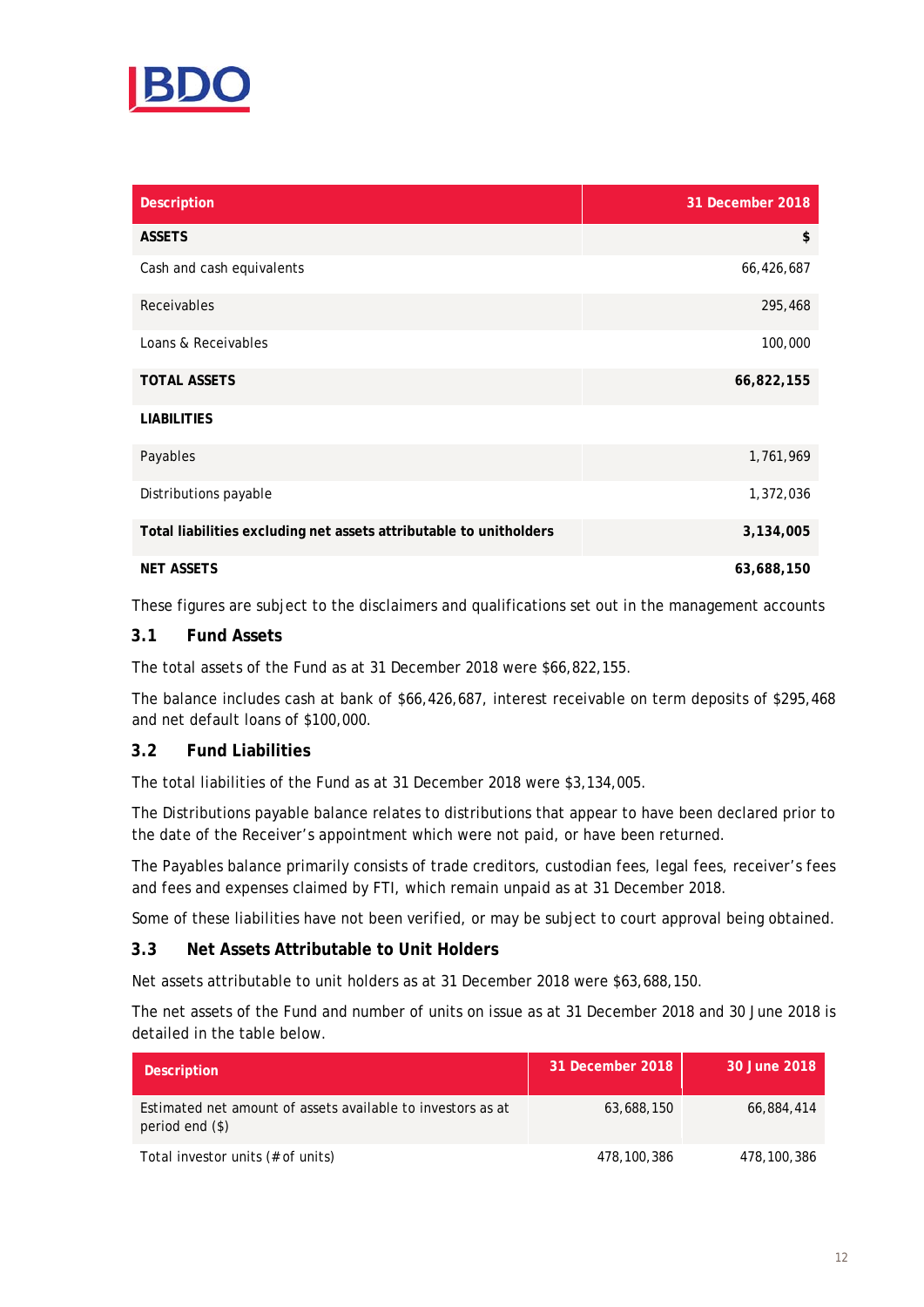

| <b>Description</b>                                                 | 31 December 2018 |
|--------------------------------------------------------------------|------------------|
| <b>ASSETS</b>                                                      | \$               |
| Cash and cash equivalents                                          | 66,426,687       |
| Receivables                                                        | 295,468          |
| Loans & Receivables                                                | 100,000          |
| <b>TOTAL ASSETS</b>                                                | 66,822,155       |
| <b>LIABILITIES</b>                                                 |                  |
| Payables                                                           | 1,761,969        |
| Distributions payable                                              | 1,372,036        |
| Total liabilities excluding net assets attributable to unitholders | 3,134,005        |
| <b>NET ASSETS</b>                                                  | 63,688,150       |

These figures are subject to the disclaimers and qualifications set out in the management accounts

## **3.1 Fund Assets**

The total assets of the Fund as at 31 December 2018 were \$66,822,155.

The balance includes cash at bank of \$66,426,687, interest receivable on term deposits of \$295,468 and net default loans of \$100,000.

## **3.2 Fund Liabilities**

The total liabilities of the Fund as at 31 December 2018 were \$3,134,005.

The Distributions payable balance relates to distributions that appear to have been declared prior to the date of the Receiver's appointment which were not paid, or have been returned.

The Payables balance primarily consists of trade creditors, custodian fees, legal fees, receiver's fees and fees and expenses claimed by FTI, which remain unpaid as at 31 December 2018.

Some of these liabilities have not been verified, or may be subject to court approval being obtained.

#### **3.3 Net Assets Attributable to Unit Holders**

Net assets attributable to unit holders as at 31 December 2018 were \$63,688,150.

The net assets of the Fund and number of units on issue as at 31 December 2018 and 30 June 2018 is detailed in the table below.

| <b>Description</b>                                                               | 31 December 2018 | 30 June 2018 |
|----------------------------------------------------------------------------------|------------------|--------------|
| Estimated net amount of assets available to investors as at<br>period end $(\$)$ | 63,688,150       | 66,884,414   |
| Total investor units (# of units)                                                | 478,100,386      | 478,100,386  |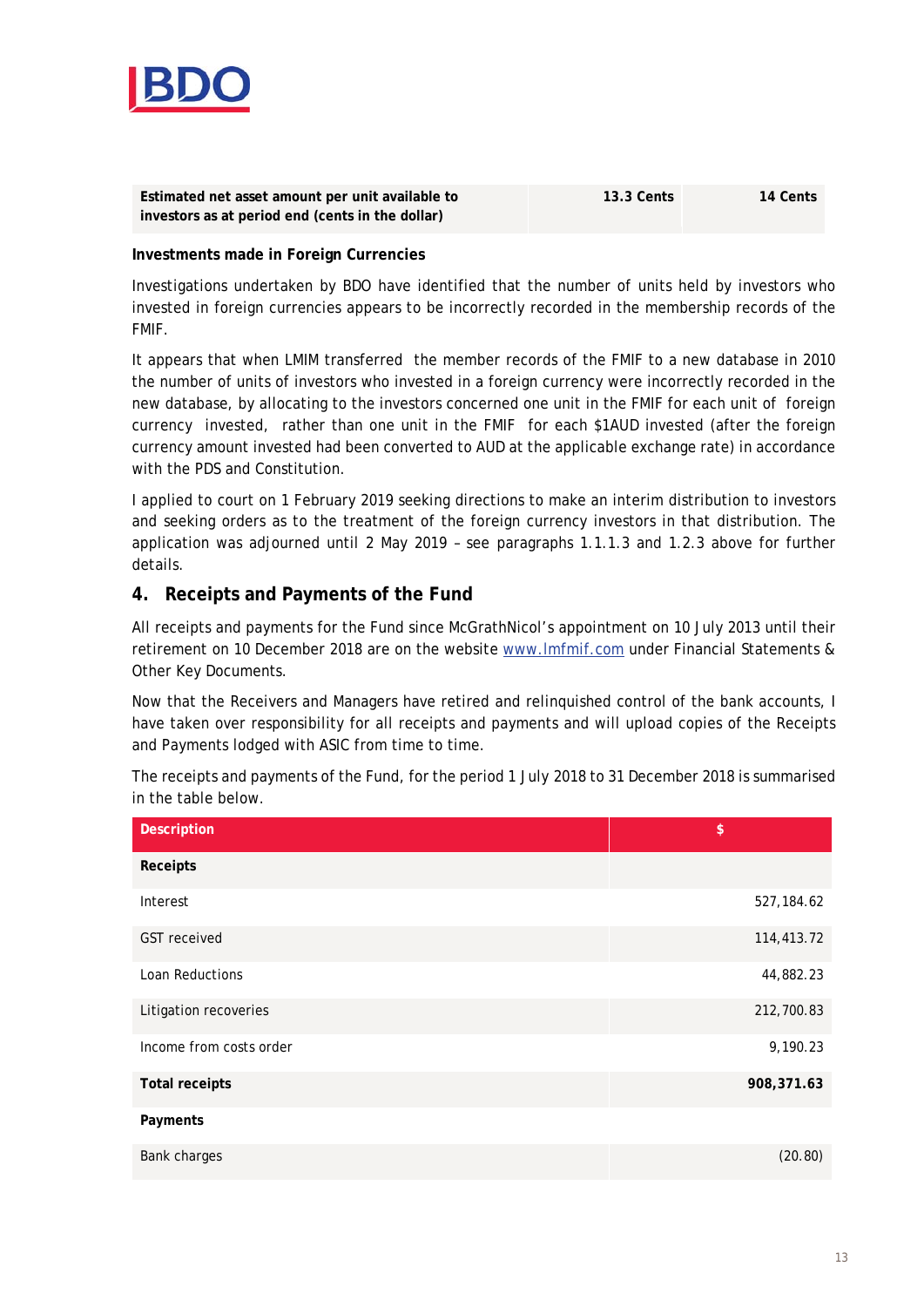

| Estimated net asset amount per unit available to | <b>13.3 Cents</b> | 14 Cents |  |  |
|--------------------------------------------------|-------------------|----------|--|--|
| investors as at period end (cents in the dollar) |                   |          |  |  |

#### **Investments made in Foreign Currencies**

Investigations undertaken by BDO have identified that the number of units held by investors who invested in foreign currencies appears to be incorrectly recorded in the membership records of the FMIF.

It appears that when LMIM transferred the member records of the FMIF to a new database in 2010 the number of units of investors who invested in a foreign currency were incorrectly recorded in the new database, by allocating to the investors concerned one unit in the FMIF for each unit of foreign currency invested, rather than one unit in the FMIF for each \$1AUD invested (after the foreign currency amount invested had been converted to AUD at the applicable exchange rate) in accordance with the PDS and Constitution.

I applied to court on 1 February 2019 seeking directions to make an interim distribution to investors and seeking orders as to the treatment of the foreign currency investors in that distribution. The application was adjourned until 2 May 2019 – see paragraphs 1.1.1.3 and 1.2.3 above for further details.

## **4. Receipts and Payments of the Fund**

All receipts and payments for the Fund since McGrathNicol's appointment on 10 July 2013 until their retirement on 10 December 2018 are on the website www.lmfmif.com under Financial Statements & Other Key Documents.

Now that the Receivers and Managers have retired and relinquished control of the bank accounts, I have taken over responsibility for all receipts and payments and will upload copies of the Receipts and Payments lodged with ASIC from time to time.

The receipts and payments of the Fund, for the period 1 July 2018 to 31 December 2018 is summarised in the table below.

| <b>Description</b>      | \$         |
|-------------------------|------------|
| Receipts                |            |
| Interest                | 527,184.62 |
| <b>GST</b> received     | 114,413.72 |
| <b>Loan Reductions</b>  | 44,882.23  |
| Litigation recoveries   | 212,700.83 |
| Income from costs order | 9,190.23   |
| <b>Total receipts</b>   | 908,371.63 |
| Payments                |            |
| Bank charges            | (20.80)    |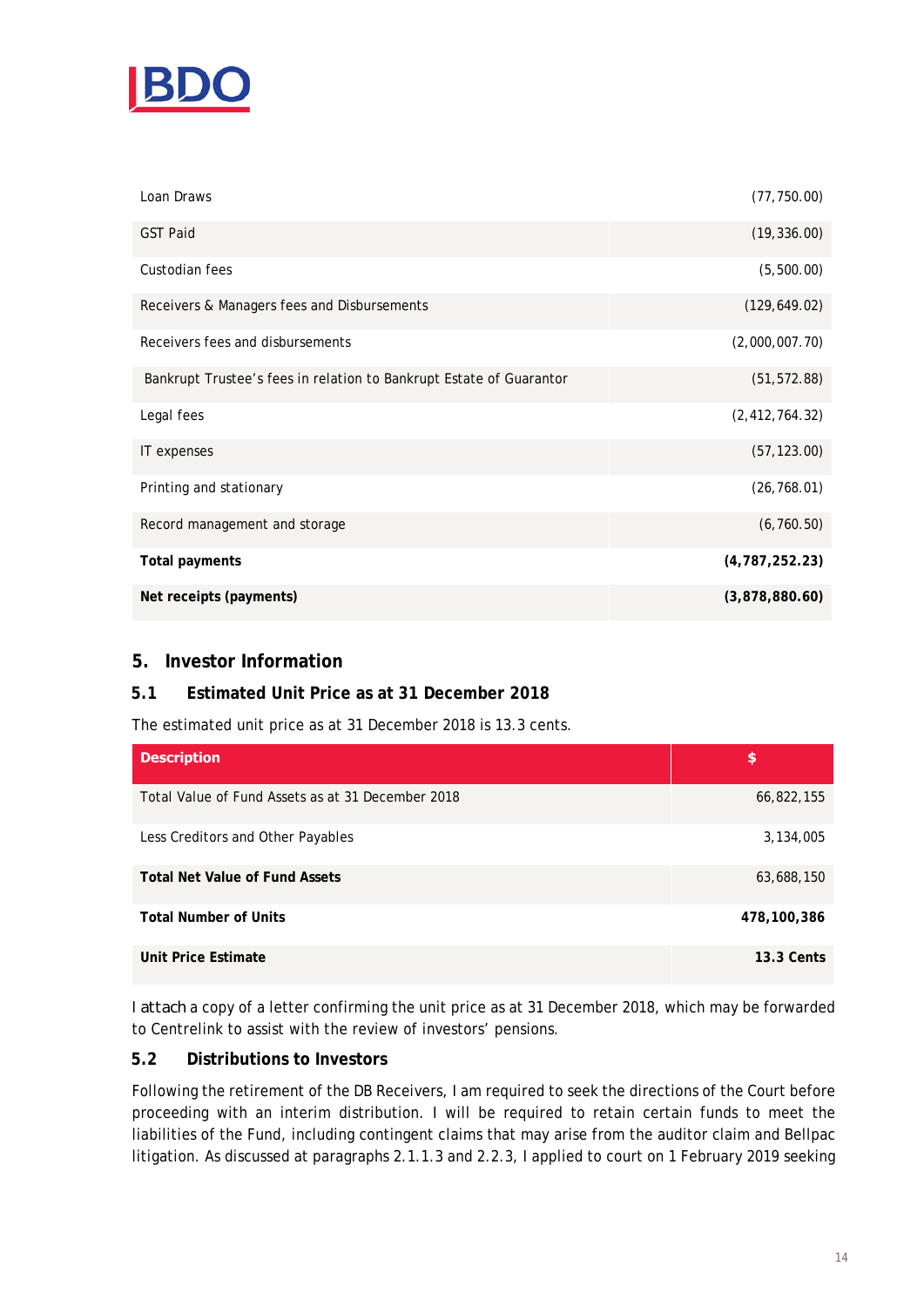

| Loan Draws                                                          | (77, 750.00)     |
|---------------------------------------------------------------------|------------------|
| <b>GST Paid</b>                                                     | (19, 336.00)     |
| Custodian fees                                                      | (5,500.00)       |
| Receivers & Managers fees and Disbursements                         | (129, 649.02)    |
| Receivers fees and disbursements                                    | (2,000,007.70)   |
| Bankrupt Trustee's fees in relation to Bankrupt Estate of Guarantor | (51, 572.88)     |
| Legal fees                                                          | (2, 412, 764.32) |
| IT expenses                                                         | (57, 123.00)     |
| Printing and stationary                                             | (26, 768.01)     |
| Record management and storage                                       | (6,760.50)       |
| <b>Total payments</b>                                               | (4, 787, 252.23) |
| Net receipts (payments)                                             | (3,878,880.60)   |

# **5. Investor Information**

# **5.1 Estimated Unit Price as at 31 December 2018**

The estimated unit price as at 31 December 2018 is 13.3 cents.

| <b>Description</b>                                | \$                |
|---------------------------------------------------|-------------------|
| Total Value of Fund Assets as at 31 December 2018 | 66,822,155        |
| Less Creditors and Other Payables                 | 3,134,005         |
| <b>Total Net Value of Fund Assets</b>             | 63,688,150        |
| <b>Total Number of Units</b>                      | 478,100,386       |
| Unit Price Estimate                               | <b>13.3 Cents</b> |

I *attach* a copy of a letter confirming the unit price as at 31 December 2018, which may be forwarded to Centrelink to assist with the review of investors' pensions.

#### **5.2 Distributions to Investors**

Following the retirement of the DB Receivers, I am required to seek the directions of the Court before proceeding with an interim distribution. I will be required to retain certain funds to meet the liabilities of the Fund, including contingent claims that may arise from the auditor claim and Bellpac litigation. As discussed at paragraphs 2.1.1.3 and 2.2.3, I applied to court on 1 February 2019 seeking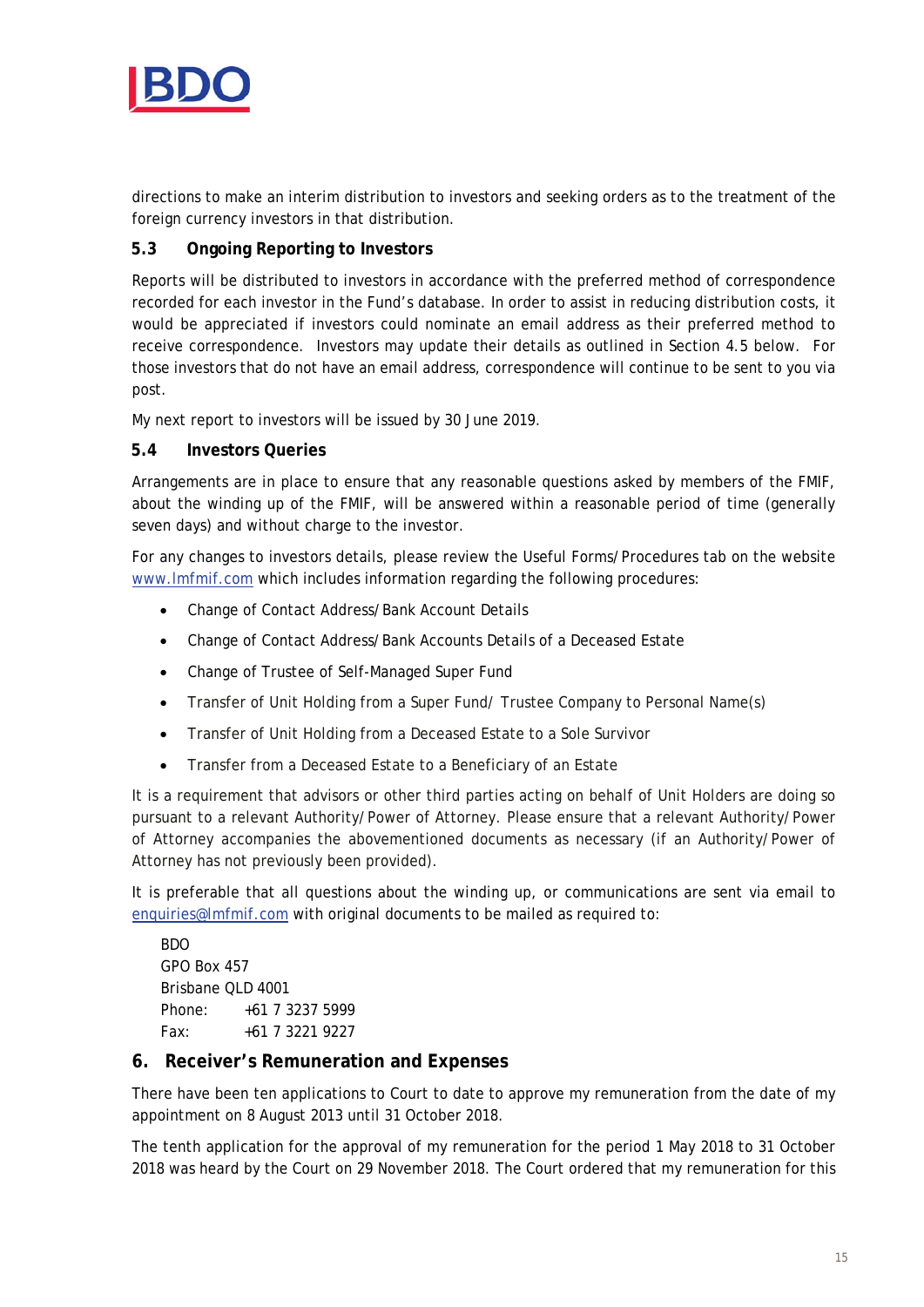

directions to make an interim distribution to investors and seeking orders as to the treatment of the foreign currency investors in that distribution.

# **5.3 Ongoing Reporting to Investors**

Reports will be distributed to investors in accordance with the preferred method of correspondence recorded for each investor in the Fund's database. In order to assist in reducing distribution costs, it would be appreciated if investors could nominate an email address as their preferred method to receive correspondence. Investors may update their details as outlined in Section 4.5 below. For those investors that do not have an email address, correspondence will continue to be sent to you via post.

My next report to investors will be issued by 30 June 2019.

#### **5.4 Investors Queries**

Arrangements are in place to ensure that any reasonable questions asked by members of the FMIF, about the winding up of the FMIF, will be answered within a reasonable period of time (generally seven days) and without charge to the investor.

For any changes to investors details, please review the Useful Forms/Procedures tab on the website www.lmfmif.com which includes information regarding the following procedures:

- Change of Contact Address/Bank Account Details
- Change of Contact Address/Bank Accounts Details of a Deceased Estate
- Change of Trustee of Self-Managed Super Fund
- Transfer of Unit Holding from a Super Fund/ Trustee Company to Personal Name(s)
- Transfer of Unit Holding from a Deceased Estate to a Sole Survivor
- Transfer from a Deceased Estate to a Beneficiary of an Estate

It is a requirement that advisors or other third parties acting on behalf of Unit Holders are doing so pursuant to a relevant Authority/Power of Attorney. Please ensure that a relevant Authority/Power of Attorney accompanies the abovementioned documents as necessary (if an Authority/Power of Attorney has not previously been provided).

It is preferable that all questions about the winding up, or communications are sent via email to enquiries@lmfmif.com with original documents to be mailed as required to:

BDO GPO Box 457 Brisbane QLD 4001 Phone: +61 7 3237 5999 Fax: +61 7 3221 9227

## **6. Receiver's Remuneration and Expenses**

There have been ten applications to Court to date to approve my remuneration from the date of my appointment on 8 August 2013 until 31 October 2018.

The tenth application for the approval of my remuneration for the period 1 May 2018 to 31 October 2018 was heard by the Court on 29 November 2018. The Court ordered that my remuneration for this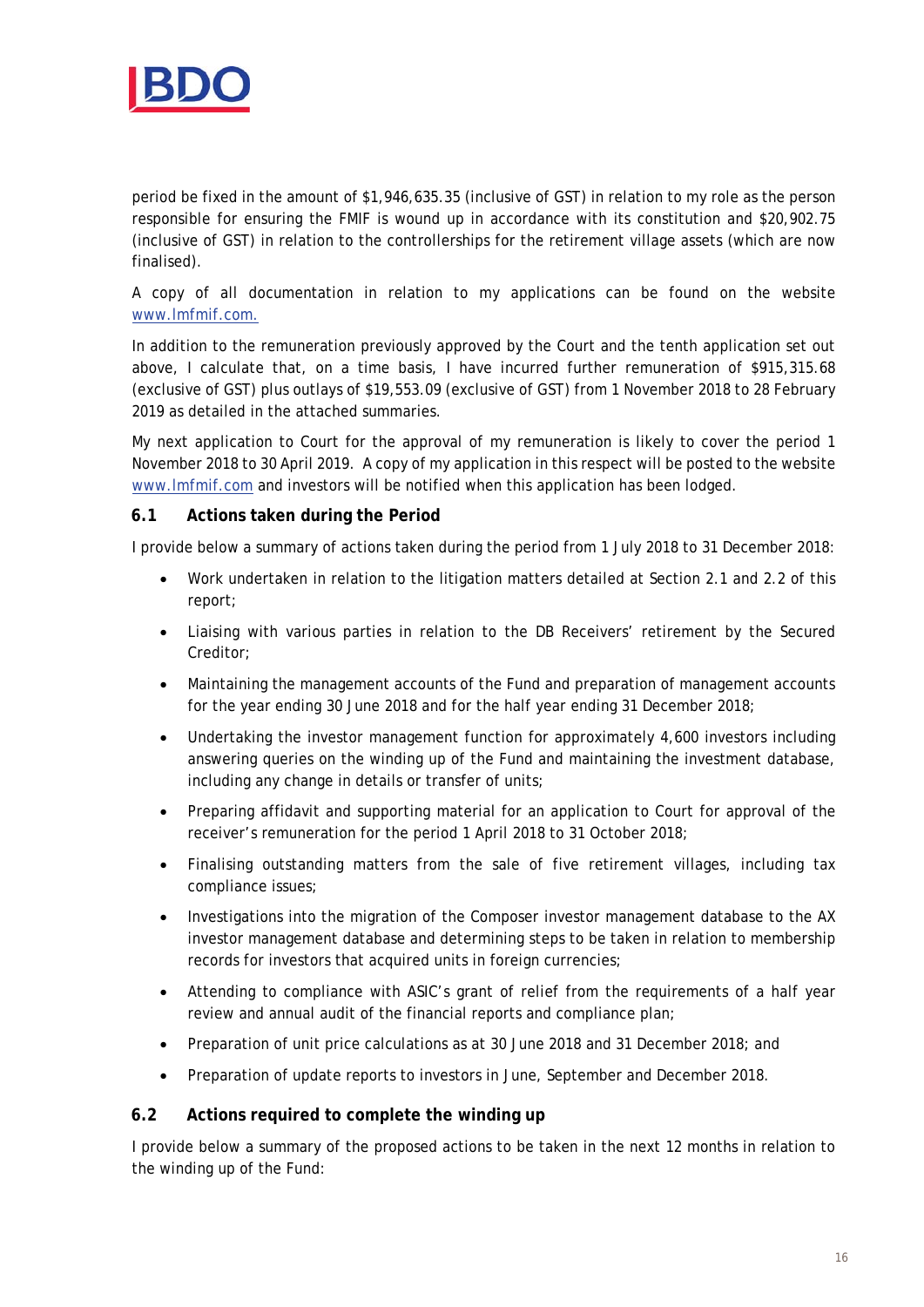

period be fixed in the amount of \$1,946,635.35 (inclusive of GST) in relation to my role as the person responsible for ensuring the FMIF is wound up in accordance with its constitution and \$20,902.75 (inclusive of GST) in relation to the controllerships for the retirement village assets (which are now finalised).

A copy of all documentation in relation to my applications can be found on the website www.lmfmif.com.

In addition to the remuneration previously approved by the Court and the tenth application set out above, I calculate that, on a time basis, I have incurred further remuneration of \$915,315.68 (exclusive of GST) plus outlays of \$19,553.09 (exclusive of GST) from 1 November 2018 to 28 February 2019 as detailed in the attached summaries.

My next application to Court for the approval of my remuneration is likely to cover the period 1 November 2018 to 30 April 2019. A copy of my application in this respect will be posted to the website www.lmfmif.com and investors will be notified when this application has been lodged.

## **6.1 Actions taken during the Period**

I provide below a summary of actions taken during the period from 1 July 2018 to 31 December 2018:

- Work undertaken in relation to the litigation matters detailed at Section 2.1 and 2.2 of this report;
- Liaising with various parties in relation to the DB Receivers' retirement by the Secured Creditor;
- Maintaining the management accounts of the Fund and preparation of management accounts for the year ending 30 June 2018 and for the half year ending 31 December 2018;
- Undertaking the investor management function for approximately 4,600 investors including answering queries on the winding up of the Fund and maintaining the investment database, including any change in details or transfer of units;
- Preparing affidavit and supporting material for an application to Court for approval of the receiver's remuneration for the period 1 April 2018 to 31 October 2018;
- Finalising outstanding matters from the sale of five retirement villages, including tax compliance issues;
- Investigations into the migration of the Composer investor management database to the AX investor management database and determining steps to be taken in relation to membership records for investors that acquired units in foreign currencies;
- Attending to compliance with ASIC's grant of relief from the requirements of a half year review and annual audit of the financial reports and compliance plan;
- Preparation of unit price calculations as at 30 June 2018 and 31 December 2018; and
- Preparation of update reports to investors in June, September and December 2018.

## **6.2 Actions required to complete the winding up**

I provide below a summary of the proposed actions to be taken in the next 12 months in relation to the winding up of the Fund: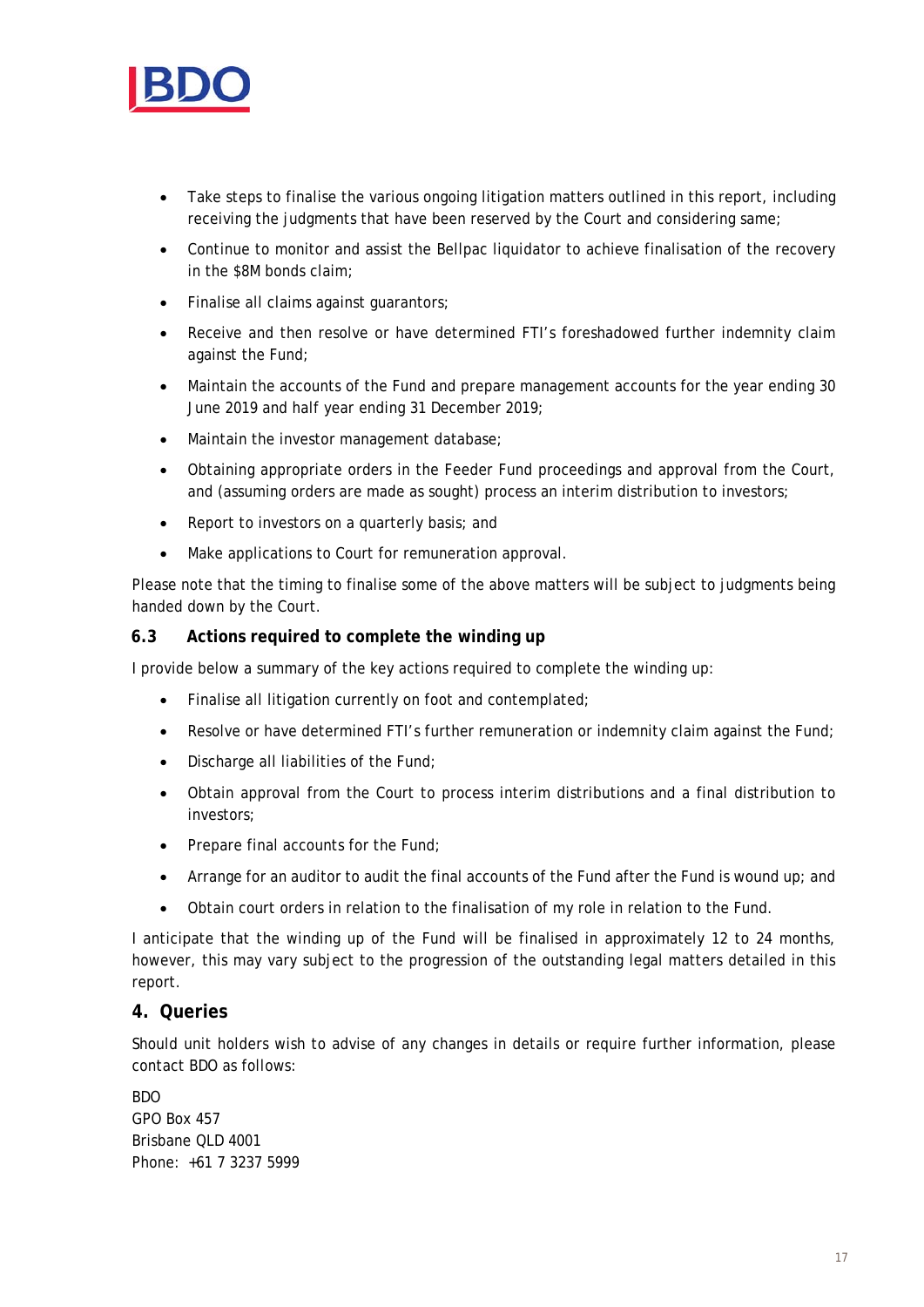

- Take steps to finalise the various ongoing litigation matters outlined in this report, including receiving the judgments that have been reserved by the Court and considering same;
- Continue to monitor and assist the Bellpac liquidator to achieve finalisation of the recovery in the \$8M bonds claim;
- Finalise all claims against guarantors;
- Receive and then resolve or have determined FTI's foreshadowed further indemnity claim against the Fund;
- Maintain the accounts of the Fund and prepare management accounts for the year ending 30 June 2019 and half year ending 31 December 2019;
- Maintain the investor management database;
- Obtaining appropriate orders in the Feeder Fund proceedings and approval from the Court, and (assuming orders are made as sought) process an interim distribution to investors;
- Report to investors on a quarterly basis; and
- Make applications to Court for remuneration approval.

Please note that the timing to finalise some of the above matters will be subject to judgments being handed down by the Court.

#### **6.3 Actions required to complete the winding up**

I provide below a summary of the key actions required to complete the winding up:

- Finalise all litigation currently on foot and contemplated;
- Resolve or have determined FTI's further remuneration or indemnity claim against the Fund;
- Discharge all liabilities of the Fund;
- Obtain approval from the Court to process interim distributions and a final distribution to investors;
- Prepare final accounts for the Fund:
- Arrange for an auditor to audit the final accounts of the Fund after the Fund is wound up; and
- Obtain court orders in relation to the finalisation of my role in relation to the Fund.

I anticipate that the winding up of the Fund will be finalised in approximately 12 to 24 months, however, this may vary subject to the progression of the outstanding legal matters detailed in this report.

#### **4. Queries**

Should unit holders wish to advise of any changes in details or require further information, please contact BDO as follows:

BDO GPO Box 457 Brisbane QLD 4001 Phone: +61 7 3237 5999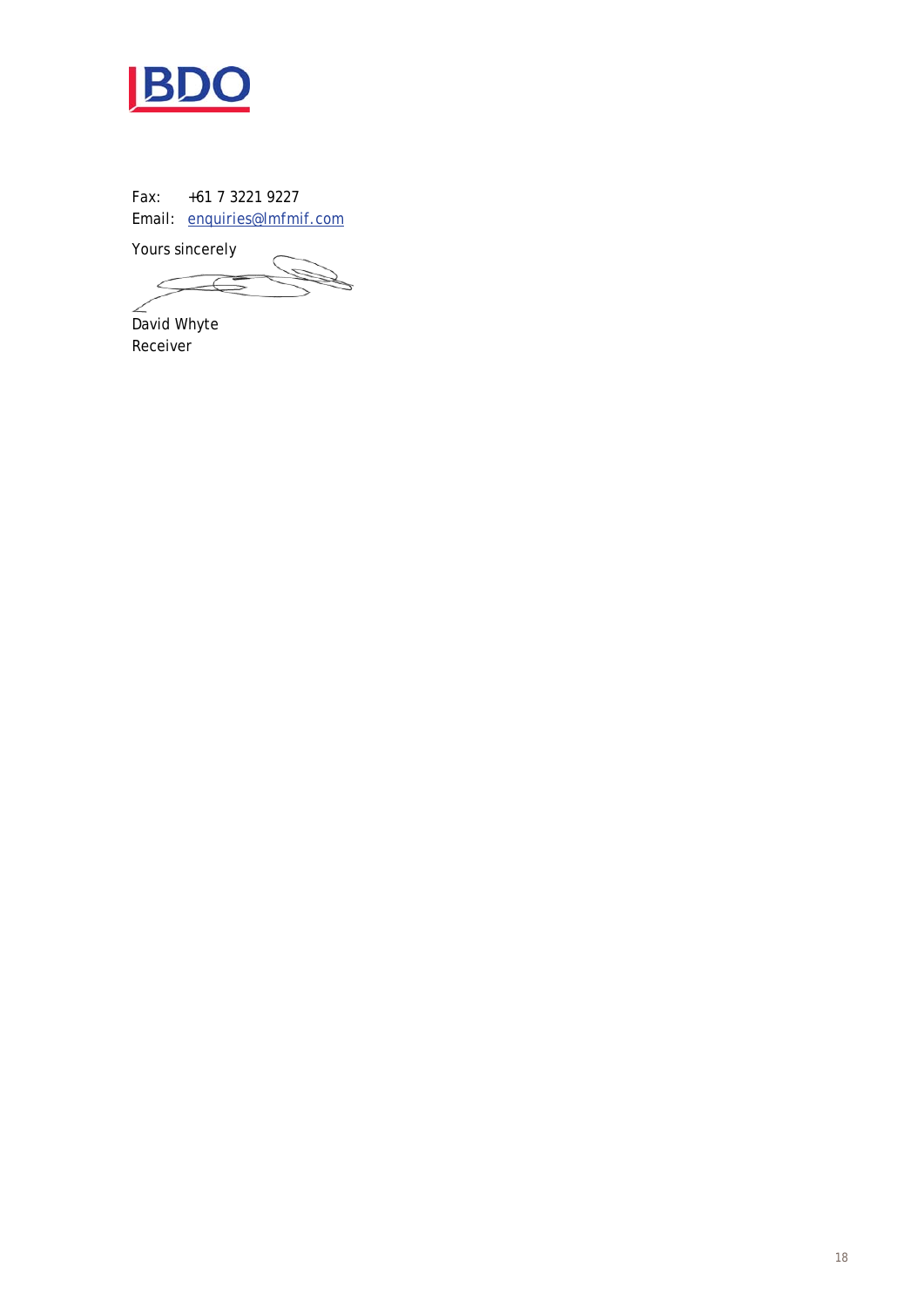

Fax: +61 7 3221 9227 Email: enquiries@lmfmif.com

Yours sincerely

 $\overline{\mathscr{C}}$ ź

David Whyte Receiver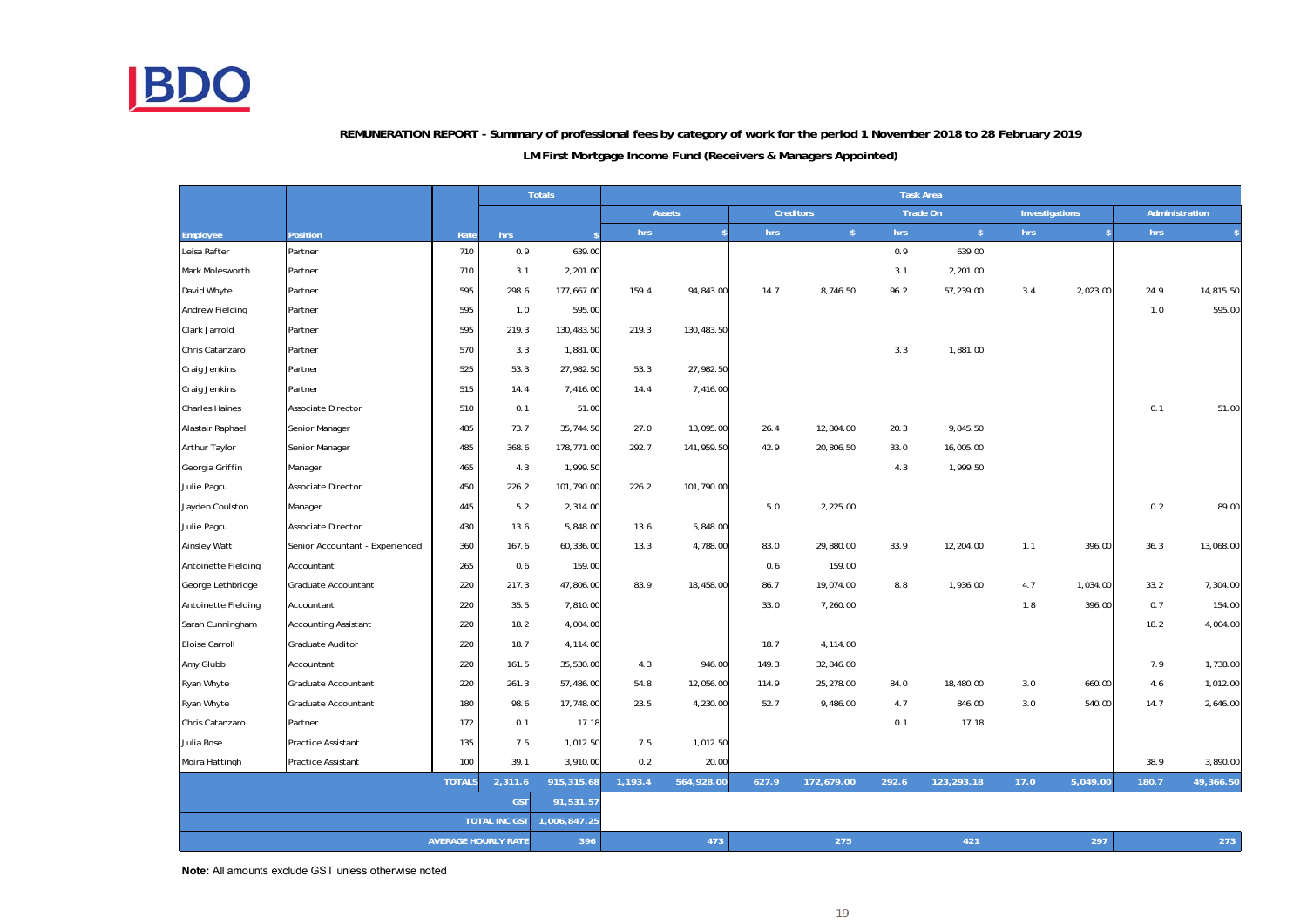

# **REMUNERATION REPORT - Summary of professional fees by category of work for the period 1 November 2018 to 28 February 2019**

#### **LM First Mortgage Income Fund (Receivers & Managers Appointed)**

|                            |                                 |               |         | <b>Totals</b> | <b>Task Area</b> |                 |       |                  |       |                    |      |                |       |                |
|----------------------------|---------------------------------|---------------|---------|---------------|------------------|-----------------|-------|------------------|-------|--------------------|------|----------------|-------|----------------|
|                            |                                 |               |         |               |                  | <b>Assets</b>   |       | <b>Creditors</b> |       | Trade On           |      | Investigations |       | Administration |
| Employee                   | Position                        | Rate          | hrs     |               | hrs              | $\ddot{\bm{x}}$ | hrs   | $\mathbf{s}$     | hrs   | $\mathbf{\hat{s}}$ | hrs  |                | hrs   |                |
| Leisa Rafter               | Partner                         | 710           | 0.9     | 639.00        |                  |                 |       |                  | 0.9   | 639.00             |      |                |       |                |
| Mark Molesworth            | Partner                         | 710           | 3.1     | 2,201.00      |                  |                 |       |                  | 3.1   | 2,201.00           |      |                |       |                |
| David Whyte                | Partner                         | 595           | 298.6   | 177,667.00    | 159.4            | 94,843.00       | 14.7  | 8,746.50         | 96.2  | 57,239.00          | 3.4  | 2,023.00       | 24.9  | 14,815.50      |
| Andrew Fielding            | Partner                         | 595           | 1.0     | 595.00        |                  |                 |       |                  |       |                    |      |                | 1.0   | 595.00         |
| Clark Jarrold              | Partner                         | 595           | 219.3   | 130,483.50    | 219.3            | 130,483.50      |       |                  |       |                    |      |                |       |                |
| Chris Catanzaro            | Partner                         | 570           | 3.3     | 1,881.00      |                  |                 |       |                  | 3.3   | 1,881.00           |      |                |       |                |
| Craig Jenkins              | Partner                         | 525           | 53.3    | 27,982.50     | 53.3             | 27,982.50       |       |                  |       |                    |      |                |       |                |
| Craig Jenkins              | Partner                         | 515           | 14.4    | 7,416.00      | 14.4             | 7,416.00        |       |                  |       |                    |      |                |       |                |
| <b>Charles Haines</b>      | Associate Director              | 510           | 0.1     | 51.00         |                  |                 |       |                  |       |                    |      |                | 0.1   | 51.00          |
| Alastair Raphael           | Senior Manager                  | 485           | 73.7    | 35,744.50     | 27.0             | 13,095.00       | 26.4  | 12,804.00        | 20.3  | 9,845.50           |      |                |       |                |
| Arthur Taylor              | Senior Manager                  | 485           | 368.6   | 178,771.00    | 292.7            | 141,959.50      | 42.9  | 20,806.50        | 33.0  | 16,005.00          |      |                |       |                |
| Georgia Griffin            | Manager                         | 465           | 4.3     | 1,999.50      |                  |                 |       |                  | 4.3   | 1,999.50           |      |                |       |                |
| Julie Pagcu                | Associate Director              | 450           | 226.2   | 101,790.00    | 226.2            | 101,790.00      |       |                  |       |                    |      |                |       |                |
| Jayden Coulston            | Manager                         | 445           | 5.2     | 2,314.00      |                  |                 | 5.0   | 2,225.00         |       |                    |      |                | 0.2   | 89.00          |
| Julie Pagcu                | Associate Director              | 430           | 13.6    | 5,848.00      | 13.6             | 5,848.00        |       |                  |       |                    |      |                |       |                |
| <b>Ainsley Watt</b>        | Senior Accountant - Experienced | 360           | 167.6   | 60,336.00     | 13.3             | 4,788.00        | 83.0  | 29,880.00        | 33.9  | 12,204.00          | 1.1  | 396.00         | 36.3  | 13,068.00      |
| Antoinette Fielding        | Accountant                      | 265           | 0.6     | 159.00        |                  |                 | 0.6   | 159.00           |       |                    |      |                |       |                |
| George Lethbridge          | Graduate Accountant             | 220           | 217.3   | 47,806.00     | 83.9             | 18,458.00       | 86.7  | 19,074.00        | 8.8   | 1,936.00           | 4.7  | 1,034.00       | 33.2  | 7,304.00       |
| Antoinette Fielding        | Accountant                      | 220           | 35.5    | 7,810.00      |                  |                 | 33.0  | 7,260.00         |       |                    | 1.8  | 396.00         | 0.7   | 154.00         |
| Sarah Cunningham           | <b>Accounting Assistant</b>     | 220           | 18.2    | 4,004.00      |                  |                 |       |                  |       |                    |      |                | 18.2  | 4,004.00       |
| Eloise Carroll             | Graduate Auditor                | 220           | 18.7    | 4,114.00      |                  |                 | 18.7  | 4,114.00         |       |                    |      |                |       |                |
| Amy Glubb                  | Accountant                      | 220           | 161.5   | 35,530.00     | 4.3              | 946.00          | 149.3 | 32,846.00        |       |                    |      |                | 7.9   | 1,738.00       |
| Ryan Whyte                 | Graduate Accountant             | 220           | 261.3   | 57,486.00     | 54.8             | 12,056.00       | 114.9 | 25,278.00        | 84.0  | 18,480.00          | 3.0  | 660.00         | 4.6   | 1,012.00       |
| Ryan Whyte                 | Graduate Accountant             | 180           | 98.6    | 17,748.00     | 23.5             | 4,230.00        | 52.7  | 9,486.00         | 4.7   | 846.00             | 3.0  | 540.00         | 14.7  | 2,646.00       |
| Chris Catanzaro            | Partner                         | 172           | 0.1     | 17.18         |                  |                 |       |                  | 0.1   | 17.18              |      |                |       |                |
| Julia Rose                 | Practice Assistant              | 135           | 7.5     | 1,012.50      | 7.5              | 1,012.50        |       |                  |       |                    |      |                |       |                |
| Moira Hattingh             | Practice Assistant              | 100           | 39.1    | 3,910.00      | 0.2              | 20.00           |       |                  |       |                    |      |                | 38.9  | 3,890.00       |
|                            |                                 | <b>TOTALS</b> | 2,311.6 | 915,315.68    | 1,193.4          | 564,928.00      | 627.9 | 172,679.00       | 292.6 | 123,293.18         | 17.0 | 5,049.00       | 180.7 | 49,366.50      |
|                            | <b>GST</b><br>91,531.57         |               |         |               |                  |                 |       |                  |       |                    |      |                |       |                |
|                            | <b>TOTAL INC GST</b>            |               |         | 1,006,847.25  |                  |                 |       |                  |       |                    |      |                |       |                |
| <b>AVERAGE HOURLY RATE</b> |                                 |               | 396     |               | 473              |                 | 275   |                  | 421   |                    | 297  |                | 273   |                |

**Note:** All amounts exclude GST unless otherwise noted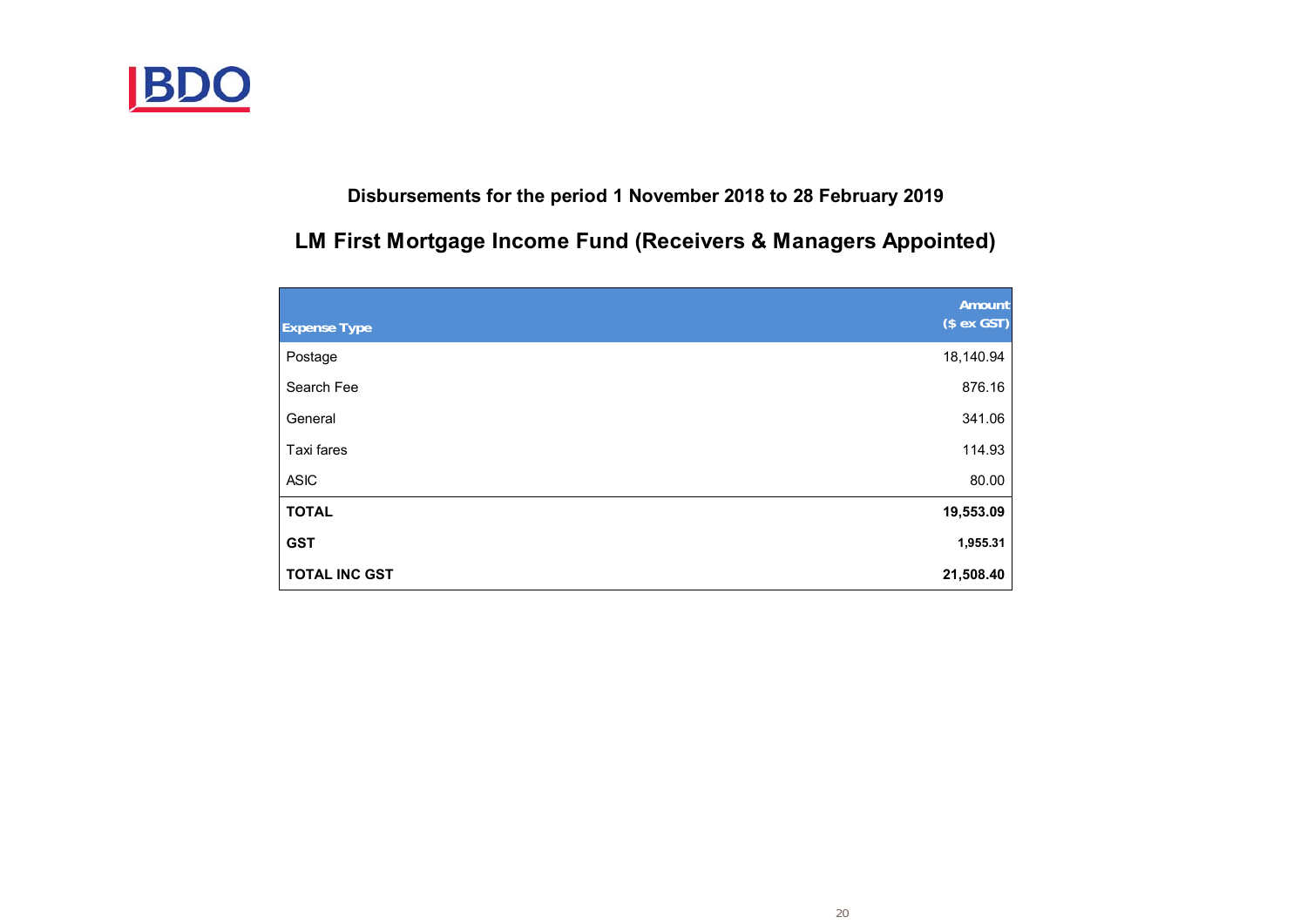

# **Disbursements for the period 1 November 2018 to 28 February 2019**

# **LM First Mortgage Income Fund (Receivers & Managers Appointed)**

|                      | Amount      |
|----------------------|-------------|
| <b>Expense Type</b>  | $($ex$ GST) |
| Postage              | 18,140.94   |
| Search Fee           | 876.16      |
| General              | 341.06      |
| Taxi fares           | 114.93      |
| <b>ASIC</b>          | 80.00       |
| <b>TOTAL</b>         | 19,553.09   |
| <b>GST</b>           | 1,955.31    |
| <b>TOTAL INC GST</b> | 21,508.40   |